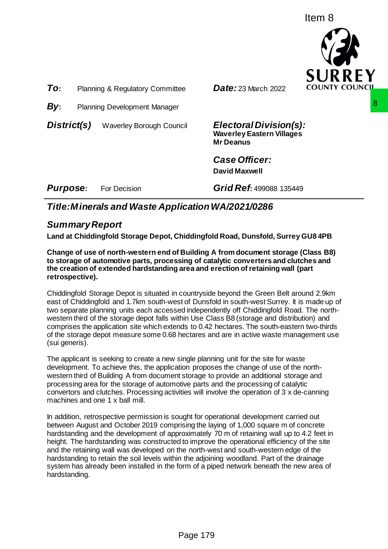Item 8



*To***:** Planning & Regulatory Committee *Date:* 23 March 2022

**By:** Planning Development Manager

*District(s)* Waverley Borough Council *Electoral Division(s):*

**Waverley Eastern Villages Mr Deanus**

*Case Officer:* **David Maxwell**

*Purpose***:** For Decision *Grid Ref***:** 499088 135449

# *Title:Minerals and Waste ApplicationWA/2021/0286*

# *Summary Report*

**Land at Chiddingfold Storage Depot, Chiddingfold Road, Dunsfold, Surrey GU8 4PB**

**Change of use of north-western end of Building A from document storage (Class B8) to storage of automotive parts, processing of catalytic converters and clutches and the creation of extended hardstanding area and erection of retaining wall (part retrospective).**

Chiddingfold Storage Depot is situated in countryside beyond the Green Belt around 2.9km east of Chiddingfold and 1.7km south-west of Dunsfold in south-west Surrey. It is made up of two separate planning units each accessed independently off Chiddingfold Road. The northwestern third of the storage depot falls within Use Class B8 (storage and distribution) and comprises the application site which extends to 0.42 hectares. The south-eastern two-thirds of the storage depot measure some 0.68 hectares and are in active waste management use (sui generis).

The applicant is seeking to create a new single planning unit for the site for waste development. To achieve this, the application proposes the change of use of the northwestern third of Building A from document storage to provide an additional storage and processing area for the storage of automotive parts and the processing of catalytic convertors and clutches. Processing activities will involve the operation of 3 x de-canning machines and one 1 x ball mill.

In addition, retrospective permission is sought for operational development carried out between August and October 2019 comprising the laying of 1,000 square m of concrete hardstanding and the development of approximately 70 m of retaining wall up to 4.2 feet in height. The hardstanding was constructed to improve the operational efficiency of the site and the retaining wall was developed on the north-west and south-western edge of the hardstanding to retain the soil levels within the adjoining woodland. Part of the drainage system has already been installed in the form of a piped network beneath the new area of hardstanding. **Electoral Division (s):**<br>
Waverley Eastern Villages<br>
Mr Deanus<br>
Case Officer:<br>
David Maxwell<br>
Grid Ref: 499088 135449<br>
Dication WA/2021/0286<br>
Hidding1old Road, Dunsfold, Surrey GU8 4PB<br>
Building A from document storage (C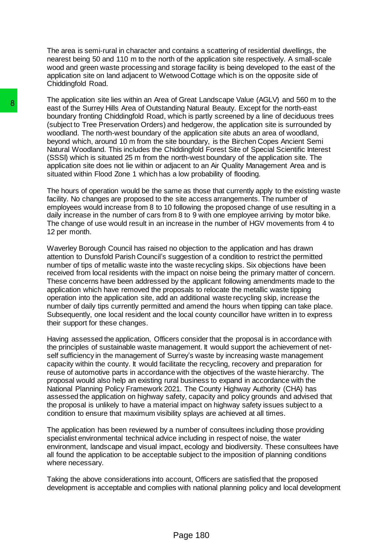The area is semi-rural in character and contains a scattering of residential dwellings, the nearest being 50 and 110 m to the north of the application site respectively. A small-scale wood and green waste processing and storage facility is being developed to the east of the application site on land adjacent to Wetwood Cottage which is on the opposite side of Chiddingfold Road.

The application site lies within an Area of Great Landscape Value (AGLV) and 560 m to the east of the Surrey Hills Area of Outstanding Natural Beauty. Except for the north-east boundary fronting Chiddingfold Road, which is partly screened by a line of deciduous trees (subject to Tree Preservation Orders) and hedgerow, the application site is surrounded by woodland. The north-west boundary of the application site abuts an area of woodland, beyond which, around 10 m from the site boundary, is the Birchen Copes Ancient Semi Natural Woodland. This includes the Chiddingfold Forest Site of Special Scientific Interest (SSSI) which is situated 25 m from the north-west boundary of the application site. The application site does not lie within or adjacent to an Air Quality Management Area and is situated within Flood Zone 1 which has a low probability of flooding.

The hours of operation would be the same as those that currently apply to the existing waste facility. No changes are proposed to the site access arrangements. The number of employees would increase from 8 to 10 following the proposed change of use resulting in a daily increase in the number of cars from 8 to 9 with one employee arriving by motor bike. The change of use would result in an increase in the number of HGV movements from 4 to 12 per month.

Waverley Borough Council has raised no objection to the application and has drawn attention to Dunsfold Parish Council's suggestion of a condition to restrict the permitted number of tips of metallic waste into the waste recycling skips. Six objections have been received from local residents with the impact on noise being the primary matter of concern. These concerns have been addressed by the applicant following amendments made to the application which have removed the proposals to relocate the metallic waste tipping operation into the application site, add an additional waste recycling skip, increase the number of daily tips currently permitted and amend the hours when tipping can take place. Subsequently, one local resident and the local county councillor have written in to express their support for these changes. **B**<br>
The septimator are line within an Area of Outstanding Natural<br>
boundary from thing Childfor[old Road, which is particle<br>
boundary for the Streep reservation Orders) and hedgetov<br>
wooddard. The north-west boundary of t

Having assessed the application, Officers consider that the proposal is in accordance with the principles of sustainable waste management. It would support the achievement of netself sufficiency in the management of Surrey's waste by increasing waste management capacity within the county. It would facilitate the recycling, recovery and preparation for reuse of automotive parts in accordance with the objectives of the waste hierarchy. The proposal would also help an existing rural business to expand in accordance with the National Planning Policy Framework 2021. The County Highway Authority (CHA) has assessed the application on highway safety, capacity and policy grounds and advised that the proposal is unlikely to have a material impact on highway safety issues subject to a condition to ensure that maximum visibility splays are achieved at all times.

The application has been reviewed by a number of consultees including those providing specialist environmental technical advice including in respect of noise, the water environment, landscape and visual impact, ecology and biodiversity. These consultees have all found the application to be acceptable subject to the imposition of planning conditions where necessary.

Taking the above considerations into account, Officers are satisfied that the proposed development is acceptable and complies with national planning policy and local development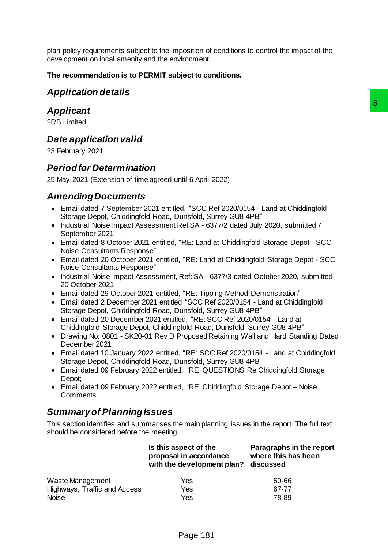plan policy requirements subject to the imposition of conditions to control the impact of the development on local amenity and the environment.

## **The recommendation is to PERMIT subject to conditions.**

# *Application details*

# *Applicant*

# *Date application valid*

# *Period for Determination*

# *Amending Documents*

- Email dated 7 September 2021 entitled, "SCC Ref 2020/0154 Land at Chiddingfold Storage Depot, Chiddingfold Road, Dunsfold, Surrey GU8 4PB"
- Industrial Noise Impact Assessment Ref SA 6377/2 dated July 2020, submitted 7 September 2021
- Email dated 8 October 2021 entitled, "RE: Land at Chiddingfold Storage Depot SCC Noise Consultants Response"
- Email dated 20 October 2021 entitled, "RE: Land at Chiddingfold Storage Depot SCC Noise Consultants Response"
- Industrial Noise Impact Assessment, Ref: SA 6377/3 dated October 2020, submitted 20 October 2021
- Email dated 29 October 2021 entitled, "RE: Tipping Method Demonstration"
- Email dated 2 December 2021 entitled "SCC Ref 2020/0154 Land at Chiddingfold Storage Depot, Chiddingfold Road, Dunsfold, Surrey GU8 4PB"
- Email dated 20 December 2021 entitled, "RE: SCC Ref 2020/0154 Land at Chiddingfold Storage Depot, Chiddingfold Road, Dunsfold, Surrey GU8 4PB"
- Drawing No: 0801 SK20-01 Rev D Proposed Retaining Wall and Hard Standing Dated December 2021
- Email dated 10 January 2022 entitled, "RE: SCC Ref 2020/0154 Land at Chiddingfold Storage Depot, Chiddingfold Road, Dunsfold, Surrey GU8 4PB
- Email dated 09 February 2022 entitled, "RE: QUESTIONS Re Chiddingfold Storage Depot;
- Email dated 09 February 2022 entitled, "RE: Chiddingfold Storage Depot Noise Comments"

# *Summary of Planning Issues*

| <b>Applicant</b>                                                                                                                                                    |                                                                                                                                                                                                                                                                                                                                                                                                                                                                                                                                                                                                                                                                                                                                                                                                                                                                                                                                                                                                                                                                                                                                                                                                                                                                                                                               |                                                              | 8 |
|---------------------------------------------------------------------------------------------------------------------------------------------------------------------|-------------------------------------------------------------------------------------------------------------------------------------------------------------------------------------------------------------------------------------------------------------------------------------------------------------------------------------------------------------------------------------------------------------------------------------------------------------------------------------------------------------------------------------------------------------------------------------------------------------------------------------------------------------------------------------------------------------------------------------------------------------------------------------------------------------------------------------------------------------------------------------------------------------------------------------------------------------------------------------------------------------------------------------------------------------------------------------------------------------------------------------------------------------------------------------------------------------------------------------------------------------------------------------------------------------------------------|--------------------------------------------------------------|---|
| 2RB Limited                                                                                                                                                         |                                                                                                                                                                                                                                                                                                                                                                                                                                                                                                                                                                                                                                                                                                                                                                                                                                                                                                                                                                                                                                                                                                                                                                                                                                                                                                                               |                                                              |   |
| Date application valid<br>23 February 2021                                                                                                                          |                                                                                                                                                                                                                                                                                                                                                                                                                                                                                                                                                                                                                                                                                                                                                                                                                                                                                                                                                                                                                                                                                                                                                                                                                                                                                                                               |                                                              |   |
| <b>Period for Determination</b><br>25 May 2021 (Extension of time agreed until 6 April 2022)                                                                        |                                                                                                                                                                                                                                                                                                                                                                                                                                                                                                                                                                                                                                                                                                                                                                                                                                                                                                                                                                                                                                                                                                                                                                                                                                                                                                                               |                                                              |   |
| <b>Amending Documents</b><br>September 2021<br>Noise Consultants Response"<br>Noise Consultants Response"<br>20 October 2021<br>December 2021<br>Depot;<br>Comments | • Email dated 7 September 2021 entitled, "SCC Ref 2020/0154 - Land at Chiddingfold<br>Storage Depot, Chiddingfold Road, Dunsfold, Surrey GU8 4PB"<br>• Industrial Noise Impact Assessment Ref SA - 6377/2 dated July 2020, submitted 7<br>• Email dated 8 October 2021 entitled, "RE: Land at Chiddingfold Storage Depot - SCC<br>• Email dated 20 October 2021 entitled, "RE: Land at Chiddingfold Storage Depot - SCC<br>• Industrial Noise Impact Assessment, Ref: SA - 6377/3 dated October 2020, submitted<br>• Email dated 29 October 2021 entitled, "RE: Tipping Method Demonstration"<br>• Email dated 2 December 2021 entitled "SCC Ref 2020/0154 - Land at Chiddingfold<br>Storage Depot, Chiddingfold Road, Dunsfold, Surrey GU8 4PB"<br>• Email dated 20 December 2021 entitled, "RE: SCC Ref 2020/0154 - Land at<br>Chiddingfold Storage Depot, Chiddingfold Road, Dunsfold, Surrey GU8 4PB"<br>• Drawing No: 0801 - SK20-01 Rev D Proposed Retaining Wall and Hard Standing Dated<br>• Email dated 10 January 2022 entitled, "RE: SCC Ref 2020/0154 - Land at Chiddingfold<br>Storage Depot, Chiddingfold Road, Dunsfold, Surrey GU8 4PB<br>• Email dated 09 February 2022 entitled, "RE: QUESTIONS Re Chiddingfold Storage<br>• Email dated 09 February 2022 entitled, "RE: Chiddingfold Storage Depot - Noise |                                                              |   |
| <b>Summary of Planning Issues</b>                                                                                                                                   |                                                                                                                                                                                                                                                                                                                                                                                                                                                                                                                                                                                                                                                                                                                                                                                                                                                                                                                                                                                                                                                                                                                                                                                                                                                                                                                               |                                                              |   |
| should be considered before the meeting.                                                                                                                            | This section identifies and summarises the main planning issues in the report. The full text                                                                                                                                                                                                                                                                                                                                                                                                                                                                                                                                                                                                                                                                                                                                                                                                                                                                                                                                                                                                                                                                                                                                                                                                                                  |                                                              |   |
|                                                                                                                                                                     | Is this aspect of the<br>proposal in accordance<br>with the development plan?                                                                                                                                                                                                                                                                                                                                                                                                                                                                                                                                                                                                                                                                                                                                                                                                                                                                                                                                                                                                                                                                                                                                                                                                                                                 | Paragraphs in the report<br>where this has been<br>discussed |   |
| Waste Management<br>Highways, Traffic and Access<br><b>Noise</b>                                                                                                    | Yes<br>Yes<br>Yes                                                                                                                                                                                                                                                                                                                                                                                                                                                                                                                                                                                                                                                                                                                                                                                                                                                                                                                                                                                                                                                                                                                                                                                                                                                                                                             | 50-66<br>67-77<br>78-89                                      |   |
|                                                                                                                                                                     | Page 181                                                                                                                                                                                                                                                                                                                                                                                                                                                                                                                                                                                                                                                                                                                                                                                                                                                                                                                                                                                                                                                                                                                                                                                                                                                                                                                      |                                                              |   |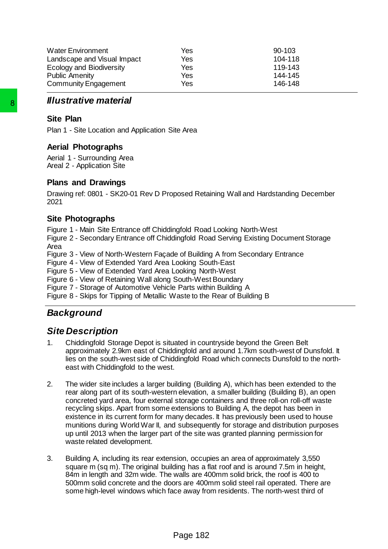| <b>Water Environment</b>        | Yes | $90-103$ |
|---------------------------------|-----|----------|
| Landscape and Visual Impact     | Yes | 104-118  |
| <b>Ecology and Biodiversity</b> | Yes | 119-143  |
| <b>Public Amenity</b>           | Yes | 144-145  |
| <b>Community Engagement</b>     | Yes | 146-148  |

# *Illustrative material*

## **Site Plan**

Plan 1 - Site Location and Application Site Area

## **Aerial Photographs**

Aerial 1 - Surrounding Area Areal 2 - Application Site

## **Plans and Drawings**

Drawing ref: 0801 - SK20-01 Rev D Proposed Retaining Wall and Hardstanding December 2021

## **Site Photographs**

Figure 1 - Main Site Entrance off Chiddingfold Road Looking North-West

Figure 2 - Secondary Entrance off Chiddingfold Road Serving Existing Document Storage Area

Figure 3 - View of North-Western Façade of Building A from Secondary Entrance

Figure 4 - View of Extended Yard Area Looking South-East

Figure 5 - View of Extended Yard Area Looking North-West

Figure 6 - View of Retaining Wall along South-West Boundary

Figure 7 - Storage of Automotive Vehicle Parts within Building A

Figure 8 - Skips for Tipping of Metallic Waste to the Rear of Building B

# *Background*

# *Site Description*

- 1. Chiddingfold Storage Depot is situated in countryside beyond the Green Belt approximately 2.9km east of Chiddingfold and around 1.7km south-west of Dunsfold. It lies on the south-west side of Chiddingfold Road which connects Dunsfold to the northeast with Chiddingfold to the west.
- 2. The wider site includes a larger building (Building A), which has been extended to the rear along part of its south-western elevation, a smaller building (Building B), an open concreted yard area, four external storage containers and three roll-on roll-off waste recycling skips. Apart from some extensions to Building A, the depot has been in existence in its current form for many decades. It has previously been used to house munitions during World War II, and subsequently for storage and distribution purposes up until 2013 when the larger part of the site was granted planning permission for waste related development. **Site Plant**<br>
Site Plan<br>
Pian 1 - Site Location and Application Site Area<br>
Aerial Photographs<br>
Aerial Photographs<br>
Aerial 1 - Surrounding Area<br>
Areal 2 - Application Site<br>
Plans and Drawings<br>
Drawing ref: 0801 - SK20-01 Re
	- 3. Building A, including its rear extension, occupies an area of approximately 3,550 square m (sq m). The original building has a flat roof and is around 7.5m in height, 84m in length and 32m wide. The walls are 400mm solid brick, the roof is 400 to 500mm solid concrete and the doors are 400mm solid steel rail operated. There are some high-level windows which face away from residents. The north-west third of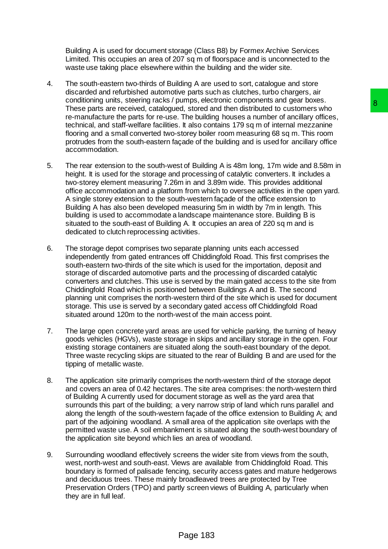Building A is used for document storage (Class B8) by Formex Archive Services Limited. This occupies an area of 207 sq m of floorspace and is unconnected to the waste use taking place elsewhere within the building and the wider site.

- 4. The south-eastern two-thirds of Building A are used to sort, catalogue and store discarded and refurbished automotive parts such as clutches, turbo chargers, air conditioning units, steering racks / pumps, electronic components and gear boxes. These parts are received, catalogued, stored and then distributed to customers who re-manufacture the parts for re-use. The building houses a number of ancillary offices, technical, and staff-welfare facilities. It also contains 179 sq m of internal mezzanine flooring and a small converted two-storey boiler room measuring 68 sq m. This room protrudes from the south-eastern façade of the building and is used for ancillary office accommodation.
- 5. The rear extension to the south-west of Building A is 48m long, 17m wide and 8.58m in height. It is used for the storage and processing of catalytic converters. It includes a two-storey element measuring 7.26m in and 3.89m wide. This provides additional office accommodation and a platform from which to oversee activities in the open yard. A single storey extension to the south-western façade of the office extension to Building A has also been developed measuring 5m in width by 7m in length. This building is used to accommodate a landscape maintenance store. Building B is situated to the south-east of Building A. It occupies an area of 220 sq m and is dedicated to clutch reprocessing activities. which, securing community and year looses.<br>
In stored and then distributed to customers who<br>
The building houses a number of ancillary offices,<br>
The building houses a number of ancillary offices,<br>
I. It also contains 179 s
- 6. The storage depot comprises two separate planning units each accessed independently from gated entrances off Chiddingfold Road. This first comprises the south-eastern two-thirds of the site which is used for the importation, deposit and storage of discarded automotive parts and the processing of discarded catalytic converters and clutches. This use is served by the main gated access to the site from Chiddingfold Road which is positioned between Buildings A and B. The second planning unit comprises the north-western third of the site which is used for document storage. This use is served by a secondary gated access off Chiddingfold Road situated around 120m to the north-west of the main access point.
- 7. The large open concrete yard areas are used for vehicle parking, the turning of heavy goods vehicles (HGVs), waste storage in skips and ancillary storage in the open. Four existing storage containers are situated along the south-east boundary of the depot. Three waste recycling skips are situated to the rear of Building B and are used for the tipping of metallic waste.
- 8. The application site primarily comprises the north-western third of the storage depot and covers an area of 0.42 hectares. The site area comprises: the north-western third of Building A currently used for document storage as well as the yard area that surrounds this part of the building; a very narrow strip of land which runs parallel and along the length of the south-western façade of the office extension to Building A; and part of the adjoining woodland. A small area of the application site overlaps with the permitted waste use. A soil embankment is situated along the south-west boundary of the application site beyond which lies an area of woodland.
- 9. Surrounding woodland effectively screens the wider site from views from the south, west, north-west and south-east. Views are available from Chiddingfold Road. This boundary is formed of palisade fencing, security access gates and mature hedgerows and deciduous trees. These mainly broadleaved trees are protected by Tree Preservation Orders (TPO) and partly screen views of Building A, particularly when they are in full leaf.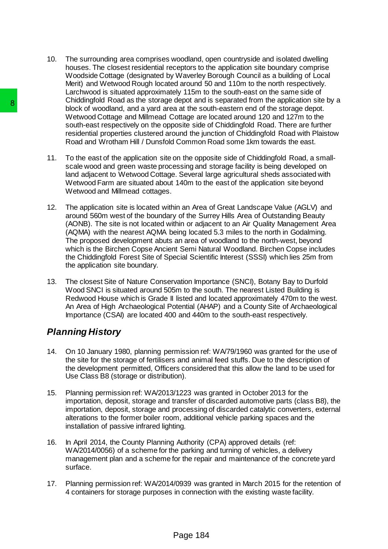- 10. The surrounding area comprises woodland, open countryside and isolated dwelling houses. The closest residential receptors to the application site boundary comprise Woodside Cottage (designated by Waverley Borough Council as a building of Local Merit) and Wetwood Rough located around 50 and 110m to the north respectively. Larchwood is situated approximately 115m to the south-east on the same side of Chiddingfold Road as the storage depot and is separated from the application site by a block of woodland, and a yard area at the south-eastern end of the storage depot. Wetwood Cottage and Millmead Cottage are located around 120 and 127m to the south-east respectively on the opposite side of Chiddingfold Road. There are further residential properties clustered around the junction of Chiddingfold Road with Plaistow Road and Wrotham Hill / Dunsfold Common Road some 1km towards the east.
- 11. To the east of the application site on the opposite side of Chiddingfold Road, a smallscale wood and green waste processing and storage facility is being developed on land adjacent to Wetwood Cottage. Several large agricultural sheds associated with Wetwood Farm are situated about 140m to the east of the application site beyond Wetwood and Millmead cottages.
- 12. The application site is located within an Area of Great Landscape Value (AGLV) and around 560m west of the boundary of the Surrey Hills Area of Outstanding Beauty (AONB). The site is not located within or adjacent to an Air Quality Management Area (AQMA) with the nearest AQMA being located 5.3 miles to the north in Godalming. The proposed development abuts an area of woodland to the north-west, beyond which is the Birchen Copse Ancient Semi Natural Woodland. Birchen Copse includes the Chiddingfold Forest Site of Special Scientific Interest (SSSI) which lies 25m from the application site boundary. Page 184 8
	- 13. The closest Site of Nature Conservation Importance (SNCI), Botany Bay to Durfold Wood SNCI is situated around 505m to the south. The nearest Listed Building is Redwood House which is Grade II listed and located approximately 470m to the west. An Area of High Archaeological Potential (AHAP) and a County Site of Archaeological Importance (CSAI) are located 400 and 440m to the south-east respectively.

# *Planning History*

- 14. On 10 January 1980, planning permission ref: WA/79/1960 was granted for the use of the site for the storage of fertilisers and animal feed stuffs. Due to the description of the development permitted, Officers considered that this allow the land to be used for Use Class B8 (storage or distribution).
- 15. Planning permission ref: WA/2013/1223 was granted in October 2013 for the importation, deposit, storage and transfer of discarded automotive parts (class B8), the importation, deposit, storage and processing of discarded catalytic converters, external alterations to the former boiler room, additional vehicle parking spaces and the installation of passive infrared lighting.
- 16. In April 2014, the County Planning Authority (CPA) approved details (ref: WA/2014/0056) of a scheme for the parking and turning of vehicles, a delivery management plan and a scheme for the repair and maintenance of the concrete yard surface.
- 17. Planning permission ref: WA/2014/0939 was granted in March 2015 for the retention of 4 containers for storage purposes in connection with the existing waste facility.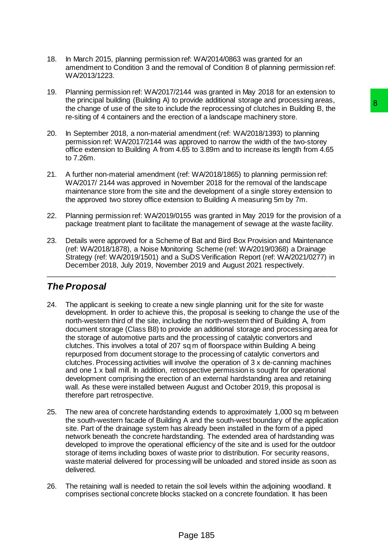- 18. In March 2015, planning permission ref: WA/2014/0863 was granted for an amendment to Condition 3 and the removal of Condition 8 of planning permission ref: WA/2013/1223.
- 19. Planning permission ref: WA/2017/2144 was granted in May 2018 for an extension to the principal building (Building A) to provide additional storage and processing areas, the change of use of the site to include the reprocessing of clutches in Building B, the re-siting of 4 containers and the erection of a landscape machinery store.
- 20. In September 2018, a non-material amendment (ref: WA/2018/1393) to planning permission ref: WA/2017/2144 was approved to narrow the width of the two-storey office extension to Building A from 4.65 to 3.89m and to increase its length from 4.65 to 7.26m.
- 21. A further non-material amendment (ref: WA/2018/1865) to planning permission ref: WA/2017/ 2144 was approved in November 2018 for the removal of the landscape maintenance store from the site and the development of a single storey extension to the approved two storey office extension to Building A measuring 5m by 7m.
- 22. Planning permission ref: WA/2019/0155 was granted in May 2019 for the provision of a package treatment plant to facilitate the management of sewage at the waste facility.
- 23. Details were approved for a Scheme of Bat and Bird Box Provision and Maintenance (ref: WA/2018/1878), a Noise Monitoring Scheme (ref: WA/2019/0368) a Drainage Strategy (ref: WA/2019/1501) and a SuDS Verification Report (ref: WA/2021/0277) in December 2018, July 2019, November 2019 and August 2021 respectively.

\_\_\_\_\_\_\_\_\_\_\_\_\_\_\_\_\_\_\_\_\_\_\_\_\_\_\_\_\_\_\_\_\_\_\_\_\_\_\_\_\_\_\_\_\_\_\_\_\_\_\_\_\_\_\_\_\_\_\_\_\_\_\_\_\_\_\_\_\_\_\_\_\_

# *The Proposal*

- 24. The applicant is seeking to create a new single planning unit for the site for waste development. In order to achieve this, the proposal is seeking to change the use of the north-western third of the site, including the north-western third of Building A, from document storage (Class B8) to provide an additional storage and processing area for the storage of automotive parts and the processing of catalytic convertors and clutches. This involves a total of 207 sq m of floorspace within Building A being repurposed from document storage to the processing of catalytic convertors and clutches. Processing activities will involve the operation of 3 x de-canning machines and one 1 x ball mill. In addition, retrospective permission is sought for operational development comprising the erection of an external hardstanding area and retaining wall. As these were installed between August and October 2019, this proposal is therefore part retrospective. provide additional solvade and protossing and protossing B, the<br>place the reprocessing of cluiches in Building B, the<br>cition of a landscape machinery store.<br>
and a particle: "WA/2018/1983) to planning<br>
approved to narrow t
- 25. The new area of concrete hardstanding extends to approximately 1,000 sq m between the south-western facade of Building A and the south-west boundary of the application site. Part of the drainage system has already been installed in the form of a piped network beneath the concrete hardstanding. The extended area of hardstanding was developed to improve the operational efficiency of the site and is used for the outdoor storage of items including boxes of waste prior to distribution. For security reasons, waste material delivered for processing will be unloaded and stored inside as soon as delivered.
- 26. The retaining wall is needed to retain the soil levels within the adjoining woodland. It comprises sectional concrete blocks stacked on a concrete foundation. It has been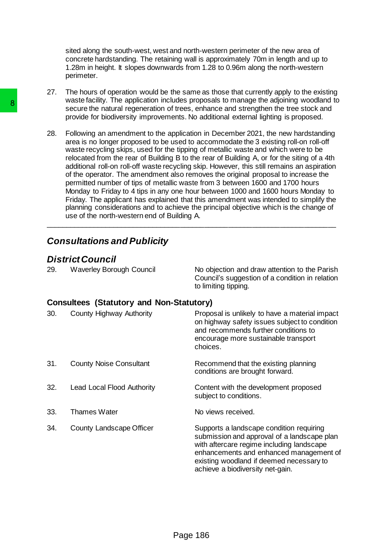sited along the south-west, west and north-western perimeter of the new area of concrete hardstanding. The retaining wall is approximately 70m in length and up to 1.28m in height. It slopes downwards from 1.28 to 0.96m along the north-western perimeter.

- 27. The hours of operation would be the same as those that currently apply to the existing waste facility. The application includes proposals to manage the adjoining woodland to secure the natural regeneration of trees, enhance and strengthen the tree stock and provide for biodiversity improvements. No additional external lighting is proposed.
- 28. Following an amendment to the application in December 2021, the new hardstanding area is no longer proposed to be used to accommodate the 3 existing roll-on roll-off waste recycling skips, used for the tipping of metallic waste and which were to be relocated from the rear of Building B to the rear of Building A, or for the siting of a 4th additional roll-on roll-off waste recycling skip. However, this still remains an aspiration of the operator. The amendment also removes the original proposal to increase the permitted number of tips of metallic waste from 3 between 1600 and 1700 hours Monday to Friday to 4 tips in any one hour between 1000 and 1600 hours Monday to Friday. The applicant has explained that this amendment was intended to simplify the planning considerations and to achieve the principal objective which is the change of use of the north-western end of Building A.

# *Consultations and Publicity*

# *District Council*

| 29. | Waverley Borough Council | No objection and draw attention to the Parish   |
|-----|--------------------------|-------------------------------------------------|
|     |                          | Council's suggestion of a condition in relation |
|     |                          | to limiting tipping.                            |

## **Consultees (Statutory and Non-Statutory)**

| 28. | use of the north-western end of Building A.                | secure the natural regeneration of trees, enhance and strengthen the tree stock and<br>provide for biodiversity improvements. No additional external lighting is proposed.<br>Following an amendment to the application in December 2021, the new hardstanding<br>area is no longer proposed to be used to accommodate the 3 existing roll-on roll-off<br>waste recycling skips, used for the tipping of metallic waste and which were to be<br>relocated from the rear of Building B to the rear of Building A, or for the siting of a 4th<br>additional roll-on roll-off waste recycling skip. However, this still remains an aspiration<br>of the operator. The amendment also removes the original proposal to increase the<br>permitted number of tips of metallic waste from 3 between 1600 and 1700 hours<br>Monday to Friday to 4 tips in any one hour between 1000 and 1600 hours Monday to<br>Friday. The applicant has explained that this amendment was intended to simplify the<br>planning considerations and to achieve the principal objective which is the change of |
|-----|------------------------------------------------------------|---------------------------------------------------------------------------------------------------------------------------------------------------------------------------------------------------------------------------------------------------------------------------------------------------------------------------------------------------------------------------------------------------------------------------------------------------------------------------------------------------------------------------------------------------------------------------------------------------------------------------------------------------------------------------------------------------------------------------------------------------------------------------------------------------------------------------------------------------------------------------------------------------------------------------------------------------------------------------------------------------------------------------------------------------------------------------------------|
|     | <b>Consultations and Publicity</b>                         |                                                                                                                                                                                                                                                                                                                                                                                                                                                                                                                                                                                                                                                                                                                                                                                                                                                                                                                                                                                                                                                                                       |
| 29. | <b>District Council</b><br><b>Waverley Borough Council</b> | No objection and draw attention to the Parish<br>Council's suggestion of a condition in relation<br>to limiting tipping.                                                                                                                                                                                                                                                                                                                                                                                                                                                                                                                                                                                                                                                                                                                                                                                                                                                                                                                                                              |
|     | <b>Consultees (Statutory and Non-Statutory)</b>            |                                                                                                                                                                                                                                                                                                                                                                                                                                                                                                                                                                                                                                                                                                                                                                                                                                                                                                                                                                                                                                                                                       |
| 30. | County Highway Authority                                   | Proposal is unlikely to have a material impact<br>on highway safety issues subject to condition<br>and recommends further conditions to<br>encourage more sustainable transport<br>choices.                                                                                                                                                                                                                                                                                                                                                                                                                                                                                                                                                                                                                                                                                                                                                                                                                                                                                           |
| 31. | <b>County Noise Consultant</b>                             | Recommend that the existing planning<br>conditions are brought forward.                                                                                                                                                                                                                                                                                                                                                                                                                                                                                                                                                                                                                                                                                                                                                                                                                                                                                                                                                                                                               |
| 32. | <b>Lead Local Flood Authority</b>                          | Content with the development proposed<br>subject to conditions.                                                                                                                                                                                                                                                                                                                                                                                                                                                                                                                                                                                                                                                                                                                                                                                                                                                                                                                                                                                                                       |
| 33. | <b>Thames Water</b>                                        | No views received.                                                                                                                                                                                                                                                                                                                                                                                                                                                                                                                                                                                                                                                                                                                                                                                                                                                                                                                                                                                                                                                                    |
| 34. | County Landscape Officer                                   | Supports a landscape condition requiring<br>submission and approval of a landscape plan<br>with aftercare regime including landscape<br>enhancements and enhanced management of<br>existing woodland if deemed necessary to<br>achieve a biodiversity net-gain.                                                                                                                                                                                                                                                                                                                                                                                                                                                                                                                                                                                                                                                                                                                                                                                                                       |
|     |                                                            |                                                                                                                                                                                                                                                                                                                                                                                                                                                                                                                                                                                                                                                                                                                                                                                                                                                                                                                                                                                                                                                                                       |
|     |                                                            | Page 186                                                                                                                                                                                                                                                                                                                                                                                                                                                                                                                                                                                                                                                                                                                                                                                                                                                                                                                                                                                                                                                                              |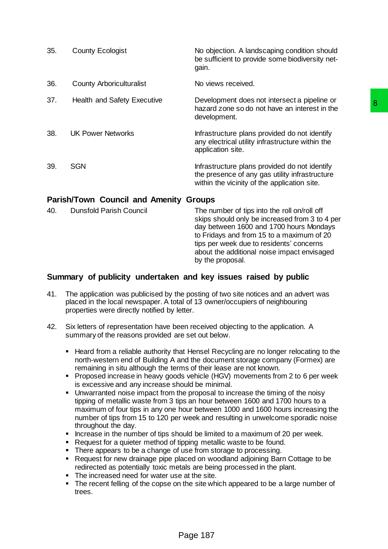| 35. | <b>County Ecologist</b>                                                                                                                                                                                                                                                                                                                                      | No objection. A landscaping condition should<br>be sufficient to provide some biodiversity net-<br>gain.                                                                                                                                                                                                                                                                                                                                                                                                                                                                                                                                                                                                                                                                                                                                         |
|-----|--------------------------------------------------------------------------------------------------------------------------------------------------------------------------------------------------------------------------------------------------------------------------------------------------------------------------------------------------------------|--------------------------------------------------------------------------------------------------------------------------------------------------------------------------------------------------------------------------------------------------------------------------------------------------------------------------------------------------------------------------------------------------------------------------------------------------------------------------------------------------------------------------------------------------------------------------------------------------------------------------------------------------------------------------------------------------------------------------------------------------------------------------------------------------------------------------------------------------|
| 36. | <b>County Arboriculturalist</b>                                                                                                                                                                                                                                                                                                                              | No views received.                                                                                                                                                                                                                                                                                                                                                                                                                                                                                                                                                                                                                                                                                                                                                                                                                               |
| 37. | <b>Health and Safety Executive</b>                                                                                                                                                                                                                                                                                                                           | Development does not intersect a pipeline or<br>8<br>hazard zone so do not have an interest in the<br>development.                                                                                                                                                                                                                                                                                                                                                                                                                                                                                                                                                                                                                                                                                                                               |
| 38. | <b>UK Power Networks</b>                                                                                                                                                                                                                                                                                                                                     | Infrastructure plans provided do not identify<br>any electrical utility infrastructure within the<br>application site.                                                                                                                                                                                                                                                                                                                                                                                                                                                                                                                                                                                                                                                                                                                           |
| 39. | <b>SGN</b>                                                                                                                                                                                                                                                                                                                                                   | Infrastructure plans provided do not identify<br>the presence of any gas utility infrastructure<br>within the vicinity of the application site.                                                                                                                                                                                                                                                                                                                                                                                                                                                                                                                                                                                                                                                                                                  |
|     | <b>Parish/Town Council and Amenity Groups</b>                                                                                                                                                                                                                                                                                                                |                                                                                                                                                                                                                                                                                                                                                                                                                                                                                                                                                                                                                                                                                                                                                                                                                                                  |
| 40. | <b>Dunsfold Parish Council</b>                                                                                                                                                                                                                                                                                                                               | The number of tips into the roll on/roll off<br>skips should only be increased from 3 to 4 per<br>day between 1600 and 1700 hours Mondays<br>to Fridays and from 15 to a maximum of 20<br>tips per week due to residents' concerns<br>about the additional noise impact envisaged<br>by the proposal.                                                                                                                                                                                                                                                                                                                                                                                                                                                                                                                                            |
|     |                                                                                                                                                                                                                                                                                                                                                              | Summary of publicity undertaken and key issues raised by public                                                                                                                                                                                                                                                                                                                                                                                                                                                                                                                                                                                                                                                                                                                                                                                  |
| 41. | properties were directly notified by letter.                                                                                                                                                                                                                                                                                                                 | The application was publicised by the posting of two site notices and an advert was<br>placed in the local newspaper. A total of 13 owner/occupiers of neighbouring                                                                                                                                                                                                                                                                                                                                                                                                                                                                                                                                                                                                                                                                              |
| 42. | summary of the reasons provided are set out below.                                                                                                                                                                                                                                                                                                           | Six letters of representation have been received objecting to the application. A                                                                                                                                                                                                                                                                                                                                                                                                                                                                                                                                                                                                                                                                                                                                                                 |
|     | remaining in situ although the terms of their lease are not known.<br>is excessive and any increase should be minimal.<br>٠<br>throughout the day.<br>Request for a quieter method of tipping metallic waste to be found.<br>п<br>There appears to be a change of use from storage to processing.<br>٠<br>The increased need for water use at the site.<br>٠ | Heard from a reliable authority that Hensel Recycling are no longer relocating to the<br>north-western end of Building A and the document storage company (Formex) are<br>Proposed increase in heavy goods vehicle (HGV) movements from 2 to 6 per week<br>Unwarranted noise impact from the proposal to increase the timing of the noisy<br>tipping of metallic waste from 3 tips an hour between 1600 and 1700 hours to a<br>maximum of four tips in any one hour between 1000 and 1600 hours increasing the<br>number of tips from 15 to 120 per week and resulting in unwelcome sporadic noise<br>Increase in the number of tips should be limited to a maximum of 20 per week.<br>Request for new drainage pipe placed on woodland adjoining Barn Cottage to be<br>redirected as potentially toxic metals are being processed in the plant. |
|     | trees.                                                                                                                                                                                                                                                                                                                                                       | The recent felling of the copse on the site which appeared to be a large number of                                                                                                                                                                                                                                                                                                                                                                                                                                                                                                                                                                                                                                                                                                                                                               |
|     |                                                                                                                                                                                                                                                                                                                                                              | Page 187                                                                                                                                                                                                                                                                                                                                                                                                                                                                                                                                                                                                                                                                                                                                                                                                                                         |

# **Parish/Town Council and Amenity Groups**

| 40. | <b>Dunsfold Parish Council</b> | The number of tips into the roll on/roll off<br>skips should only be increased from 3 to 4 per<br>day between 1600 and 1700 hours Mondays<br>to Fridays and from 15 to a maximum of 20<br>tips per week due to residents' concerns<br>about the additional noise impact envisaged<br>by the proposal. |
|-----|--------------------------------|-------------------------------------------------------------------------------------------------------------------------------------------------------------------------------------------------------------------------------------------------------------------------------------------------------|
|     |                                |                                                                                                                                                                                                                                                                                                       |

# **Summary of publicity undertaken and key issues raised by public**

- 41. The application was publicised by the posting of two site notices and an advert was placed in the local newspaper. A total of 13 owner/occupiers of neighbouring properties were directly notified by letter.
- 42. Six letters of representation have been received objecting to the application. A summary of the reasons provided are set out below.
	- Heard from a reliable authority that Hensel Recycling are no longer relocating to the north-western end of Building A and the document storage company (Formex) are remaining in situ although the terms of their lease are not known.
	- Proposed increase in heavy goods vehicle (HGV) movements from 2 to 6 per week is excessive and any increase should be minimal.
	- Unwarranted noise impact from the proposal to increase the timing of the noisy tipping of metallic waste from 3 tips an hour between 1600 and 1700 hours to a maximum of four tips in any one hour between 1000 and 1600 hours increasing the number of tips from 15 to 120 per week and resulting in unwelcome sporadic noise throughout the day.
	- **Increase in the number of tips should be limited to a maximum of 20 per week.**
	- Request for a quieter method of tipping metallic waste to be found.
	- There appears to be a change of use from storage to processing.
	- Request for new drainage pipe placed on woodland adjoining Barn Cottage to be redirected as potentially toxic metals are being processed in the plant.
	- The increased need for water use at the site.
	- The recent felling of the copse on the site which appeared to be a large number of trees.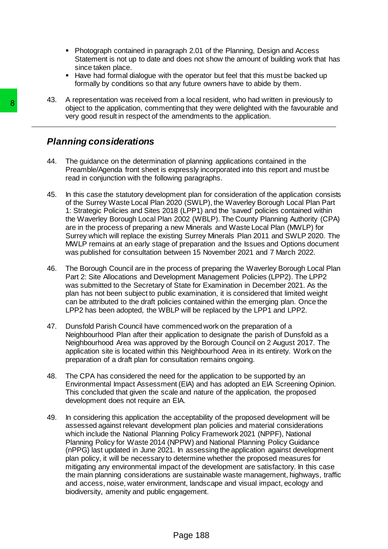- Photograph contained in paragraph 2.01 of the Planning, Design and Access Statement is not up to date and does not show the amount of building work that has since taken place.
- Have had formal dialogue with the operator but feel that this must be backed up formally by conditions so that any future owners have to abide by them.

43. A representation was received from a local resident, who had written in previously to object to the application, commenting that they were delighted with the favourable and very good result in respect of the amendments to the application.

# *Planning considerations*

- 44. The guidance on the determination of planning applications contained in the Preamble/Agenda front sheet is expressly incorporated into this report and must be read in conjunction with the following paragraphs.
- 45. In this case the statutory development plan for consideration of the application consists of the Surrey Waste Local Plan 2020 (SWLP), the Waverley Borough Local Plan Part 1: Strategic Policies and Sites 2018 (LPP1) and the 'saved' policies contained within the Waverley Borough Local Plan 2002 (WBLP). The County Planning Authority (CPA) are in the process of preparing a new Minerals and Waste Local Plan (MWLP) for Surrey which will replace the existing Surrey Minerals Plan 2011 and SWLP 2020. The MWLP remains at an early stage of preparation and the Issues and Options document was published for consultation between 15 November 2021 and 7 March 2022.
- 46. The Borough Council are in the process of preparing the Waverley Borough Local Plan Part 2: Site Allocations and Development Management Policies (LPP2). The LPP2 was submitted to the Secretary of State for Examination in December 2021. As the plan has not been subject to public examination, it is considered that limited weight can be attributed to the draft policies contained within the emerging plan. Once the LPP2 has been adopted, the WBLP will be replaced by the LPP1 and LPP2.
- 47. Dunsfold Parish Council have commenced work on the preparation of a Neighbourhood Plan after their application to designate the parish of Dunsfold as a Neighbourhood Area was approved by the Borough Council on 2 August 2017. The application site is located within this Neighbourhood Area in its entirety. Work on the preparation of a draft plan for consultation remains ongoing.
- 48. The CPA has considered the need for the application to be supported by an Environmental Impact Assessment (EIA) and has adopted an EIA Screening Opinion. This concluded that given the scale and nature of the application, the proposed development does not require an EIA.
- 49. In considering this application the acceptability of the proposed development will be assessed against relevant development plan policies and material considerations which include the National Planning Policy Framework 2021 (NPPF), National Planning Policy for Waste 2014 (NPPW) and National Planning Policy Guidance (nPPG) last updated in June 2021. In assessing the application against development plan policy, it will be necessary to determine whether the proposed measures for mitigating any environmental impact of the development are satisfactory. In this case the main planning considerations are sustainable waste management, highways, traffic and access, noise, water environment, landscape and visual impact, ecology and biodiversity, amenity and public engagement. Chieral to the application, commenting that the very good result in respect of the amendment<br>
Very good result in respect of the amendment<br>
Paraming considerations<br>
44. The guidance on the determination of planning<br>
The re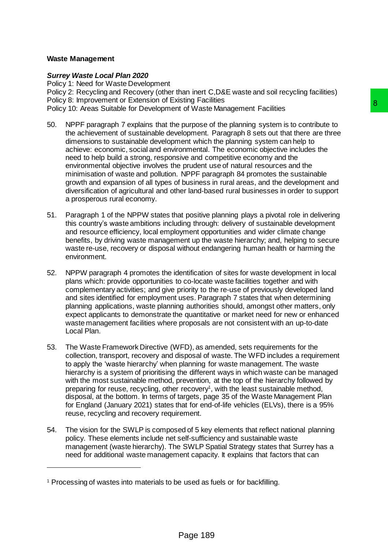## **Waste Management**

 $\overline{a}$ 

## *Surrey Waste Local Plan 2020*

Policy 1: Need for Waste Development Policy 2: Recycling and Recovery (other than inert C,D&E waste and soil recycling facilities) Policy 8: Improvement or Extension of Existing Facilities Policy 10: Areas Suitable for Development of Waste Management Facilities

- 50. NPPF paragraph 7 explains that the purpose of the planning system is to contribute to the achievement of sustainable development. Paragraph 8 sets out that there are three dimensions to sustainable development which the planning system can help to achieve: economic, social and environmental. The economic objective includes the need to help build a strong, responsive and competitive economy and the environmental objective involves the prudent use of natural resources and the minimisation of waste and pollution. NPPF paragraph 84 promotes the sustainable growth and expansion of all types of business in rural areas, and the development and diversification of agricultural and other land-based rural businesses in order to support a prosperous rural economy. Islam praculates<br>
is of Waste Management Facilities<br>
purpose of the planning system is to contribute to<br>
electroment. Paragraph 8 sets out that there are three<br>
enert which the planning system can help to<br>
commental. The e
- 51. Paragraph 1 of the NPPW states that positive planning plays a pivotal role in delivering this country's waste ambitions including through: delivery of sustainable development and resource efficiency, local employment opportunities and wider climate change benefits, by driving waste management up the waste hierarchy; and, helping to secure waste re-use, recovery or disposal without endangering human health or harming the environment.
- 52. NPPW paragraph 4 promotes the identification of sites for waste development in local plans which: provide opportunities to co-locate waste facilities together and with complementary activities; and give priority to the re-use of previously developed land and sites identified for employment uses. Paragraph 7 states that when determining planning applications, waste planning authorities should, amongst other matters, only expect applicants to demonstrate the quantitative or market need for new or enhanced waste management facilities where proposals are not consistent with an up-to-date Local Plan.
- 53. The Waste Framework Directive (WFD), as amended, sets requirements for the collection, transport, recovery and disposal of waste. The WFD includes a requirement to apply the 'waste hierarchy' when planning for waste management. The waste hierarchy is a system of prioritising the different ways in which waste can be managed with the most sustainable method, prevention, at the top of the hierarchy followed by preparing for reuse, recycling, other recovery<sup>1</sup>, with the least sustainable method, disposal, at the bottom. In terms of targets, page 35 of the Waste Management Plan for England (January 2021) states that for end-of-life vehicles (ELVs), there is a 95% reuse, recycling and recovery requirement.
- 54. The vision for the SWLP is composed of 5 key elements that reflect national planning policy. These elements include net self-sufficiency and sustainable waste management (waste hierarchy). The SWLP Spatial Strategy states that Surrey has a need for additional waste management capacity. It explains that factors that can

<sup>&</sup>lt;sup>1</sup> Processing of wastes into materials to be used as fuels or for backfilling.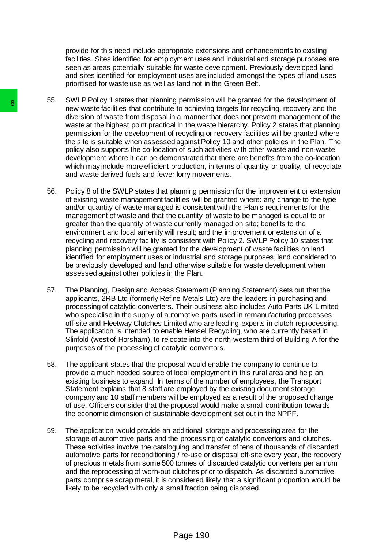provide for this need include appropriate extensions and enhancements to existing facilities. Sites identified for employment uses and industrial and storage purposes are seen as areas potentially suitable for waste development. Previously developed land and sites identified for employment uses are included amongst the types of land uses prioritised for waste use as well as land not in the Green Belt.

- 55. SWLP Policy 1 states that planning permission will be granted for the development of new waste facilities that contribute to achieving targets for recycling, recovery and the diversion of waste from disposal in a manner that does not prevent management of the waste at the highest point practical in the waste hierarchy. Policy 2 states that planning permission for the development of recycling or recovery facilities will be granted where the site is suitable when assessed against Policy 10 and other policies in the Plan. The policy also supports the co-location of such activities with other waste and non-waste development where it can be demonstrated that there are benefits from the co-location which may include more efficient production, in terms of quantity or quality, of recyclate and waste derived fuels and fewer lorry movements.
- 56. Policy 8 of the SWLP states that planning permission for the improvement or extension of existing waste management facilities will be granted where: any change to the type and/or quantity of waste managed is consistent with the Plan's requirements for the management of waste and that the quantity of waste to be managed is equal to or greater than the quantity of waste currently managed on site; benefits to the environment and local amenity will result; and the improvement or extension of a recycling and recovery facility is consistent with Policy 2. SWLP Policy 10 states that planning permission will be granted for the development of waste facilities on land identified for employment uses or industrial and storage purposes, land considered to be previously developed and land otherwise suitable for waste development when assessed against other policies in the Plan. or where F out y states that planting permission and the same than the particulation of warster form distorsal in a manner of weaks for the development of reacting wastes at the highest point practical in the was permissio
	- 57. The Planning, Design and Access Statement (Planning Statement) sets out that the applicants, 2RB Ltd (formerly Refine Metals Ltd) are the leaders in purchasing and processing of catalytic converters. Their business also includes Auto Parts UK Limited who specialise in the supply of automotive parts used in remanufacturing processes off-site and Fleetway Clutches Limited who are leading experts in clutch reprocessing. The application is intended to enable Hensel Recycling, who are currently based in Slinfold (west of Horsham), to relocate into the north-western third of Building A for the purposes of the processing of catalytic convertors.
	- 58. The applicant states that the proposal would enable the company to continue to provide a much needed source of local employment in this rural area and help an existing business to expand. In terms of the number of employees, the Transport Statement explains that 8 staff are employed by the existing document storage company and 10 staff members will be employed as a result of the proposed change of use. Officers consider that the proposal would make a small contribution towards the economic dimension of sustainable development set out in the NPPF.
	- 59. The application would provide an additional storage and processing area for the storage of automotive parts and the processing of catalytic convertors and clutches. These activities involve the cataloguing and transfer of tens of thousands of discarded automotive parts for reconditioning / re-use or disposal off-site every year, the recovery of precious metals from some 500 tonnes of discarded catalytic converters per annum and the reprocessing of worn-out clutches prior to dispatch. As discarded automotive parts comprise scrap metal, it is considered likely that a significant proportion would be likely to be recycled with only a small fraction being disposed.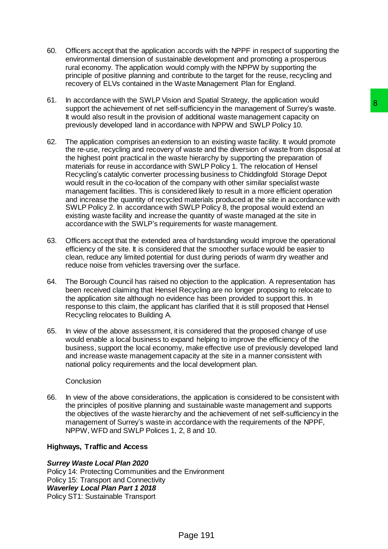- 60. Officers accept that the application accords with the NPPF in respect of supporting the environmental dimension of sustainable development and promoting a prosperous rural economy. The application would comply with the NPPW by supporting the principle of positive planning and contribute to the target for the reuse, recycling and recovery of ELVs contained in the Waste Management Plan for England.
- 61. In accordance with the SWLP Vision and Spatial Strategy, the application would support the achievement of net self-sufficiency in the management of Surrey's waste. It would also result in the provision of additional waste management capacity on previously developed land in accordance with NPPW and SWLP Policy 10.
- 62. The application comprises an extension to an existing waste facility. It would promote the re-use, recycling and recovery of waste and the diversion of waste from disposal at the highest point practical in the waste hierarchy by supporting the preparation of materials for reuse in accordance with SWLP Policy 1. The relocation of Hensel Recycling's catalytic converter processing business to Chiddingfold Storage Depot would result in the co-location of the company with other similar specialist waste management facilities. This is considered likely to result in a more efficient operation and increase the quantity of recycled materials produced at the site in accordance with SWLP Policy 2. In accordance with SWLP Policy 8, the proposal would extend an existing waste facility and increase the quantity of waste managed at the site in accordance with the SWLP's requirements for waste management. Fand systems stately), the splinted<br>sufficiency in the management of Surrey's waste.<br>sufficiency in the management capacity on<br>state with NPPW and SWLP Policy 10.<br>Sion to an existing waste facility. It would promote<br>since
- 63. Officers accept that the extended area of hardstanding would improve the operational efficiency of the site. It is considered that the smoother surface would be easier to clean, reduce any limited potential for dust during periods of warm dry weather and reduce noise from vehicles traversing over the surface.
- 64. The Borough Council has raised no objection to the application. A representation has been received claiming that Hensel Recycling are no longer proposing to relocate to the application site although no evidence has been provided to support this. In response to this claim, the applicant has clarified that it is still proposed that Hensel Recycling relocates to Building A.
- 65. In view of the above assessment, it is considered that the proposed change of use would enable a local business to expand helping to improve the efficiency of the business, support the local economy, make effective use of previously developed land and increase waste management capacity at the site in a manner consistent with national policy requirements and the local development plan.

## **Conclusion**

66. In view of the above considerations, the application is considered to be consistent with the principles of positive planning and sustainable waste management and supports the objectives of the waste hierarchy and the achievement of net self-sufficiency in the management of Surrey's waste in accordance with the requirements of the NPPF, NPPW, WFD and SWLP Polices 1, 2, 8 and 10.

#### **Highways, Traffic and Access**

#### *Surrey Waste Local Plan 2020*

Policy 14: Protecting Communities and the Environment Policy 15: Transport and Connectivity *Waverley Local Plan Part 1 2018* Policy ST1: Sustainable Transport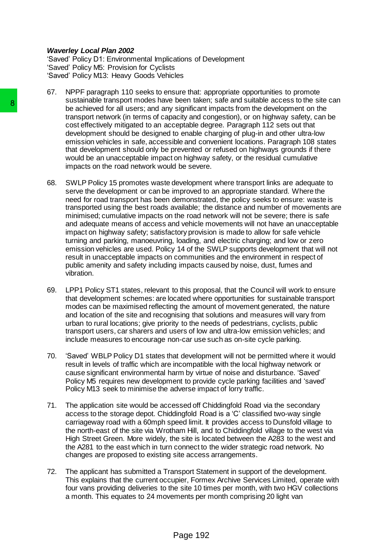#### *Waverley Local Plan 2002*

'Saved' Policy D1: Environmental Implications of Development 'Saved' Policy M5: Provision for Cyclists 'Saved' Policy M13: Heavy Goods Vehicles

- 67. NPPF paragraph 110 seeks to ensure that: appropriate opportunities to promote sustainable transport modes have been taken; safe and suitable access to the site can be achieved for all users; and any significant impacts from the development on the transport network (in terms of capacity and congestion), or on highway safety, can be cost effectively mitigated to an acceptable degree. Paragraph 112 sets out that development should be designed to enable charging of plug-in and other ultra-low emission vehicles in safe, accessible and convenient locations. Paragraph 108 states that development should only be prevented or refused on highways grounds if there would be an unacceptable impact on highway safety, or the residual cumulative impacts on the road network would be severe.
- 68. SWLP Policy 15 promotes waste development where transport links are adequate to serve the development or can be improved to an appropriate standard. Where the need for road transport has been demonstrated, the policy seeks to ensure: waste is transported using the best roads available; the distance and number of movements are minimised; cumulative impacts on the road network will not be severe; there is safe and adequate means of access and vehicle movements will not have an unacceptable impact on highway safety; satisfactory provision is made to allow for safe vehicle turning and parking, manoeuvring, loading, and electric charging; and low or zero emission vehicles are used. Policy 14 of the SWLP supports development that will not result in unacceptable impacts on communities and the environment in respect of public amenity and safety including impacts caused by noise, dust, fumes and vibration. B<br>
Sustainable using to those stare to be achieved for all users; and any significant<br>
transport network (in terms of capacity and cor<br>
development should be designed to enable close and the constraint<br>
cost effectively mi
	- 69. LPP1 Policy ST1 states, relevant to this proposal, that the Council will work to ensure that development schemes: are located where opportunities for sustainable transport modes can be maximised reflecting the amount of movement generated, the nature and location of the site and recognising that solutions and measures will vary from urban to rural locations; give priority to the needs of pedestrians, cyclists, public transport users, car sharers and users of low and ultra-low emission vehicles; and include measures to encourage non-car use such as on-site cycle parking.
	- 70. 'Saved' WBLP Policy D1 states that development will not be permitted where it would result in levels of traffic which are incompatible with the local highway network or cause significant environmental harm by virtue of noise and disturbance. 'Saved' Policy M5 requires new development to provide cycle parking facilities and 'saved' Policy M13 seek to minimise the adverse impact of lorry traffic.
	- 71. The application site would be accessed off Chiddingfold Road via the secondary access to the storage depot. Chiddingfold Road is a 'C' classified two-way single carriageway road with a 60mph speed limit. It provides access to Dunsfold village to the north-east of the site via Wrotham Hill, and to Chiddingfold village to the west via High Street Green. More widely, the site is located between the A283 to the west and the A281 to the east which in turn connect to the wider strategic road network. No changes are proposed to existing site access arrangements.
	- 72. The applicant has submitted a Transport Statement in support of the development. This explains that the current occupier, Formex Archive Services Limited, operate with four vans providing deliveries to the site 10 times per month, with two HGV collections a month. This equates to 24 movements per month comprising 20 light van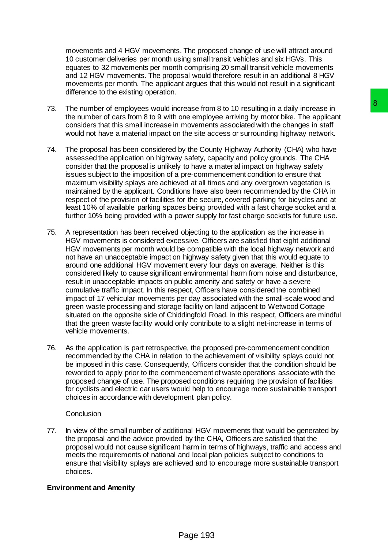movements and 4 HGV movements. The proposed change of use will attract around 10 customer deliveries per month using small transit vehicles and six HGVs. This equates to 32 movements per month comprising 20 small transit vehicle movements and 12 HGV movements. The proposal would therefore result in an additional 8 HGV movements per month. The applicant argues that this would not result in a significant difference to the existing operation.

- 73. The number of employees would increase from 8 to 10 resulting in a daily increase in the number of cars from 8 to 9 with one employee arriving by motor bike. The applicant considers that this small increase in movements associated with the changes in staff would not have a material impact on the site access or surrounding highway network.
- 74. The proposal has been considered by the County Highway Authority (CHA) who have assessed the application on highway safety, capacity and policy grounds. The CHA consider that the proposal is unlikely to have a material impact on highway safety issues subject to the imposition of a pre-commencement condition to ensure that maximum visibility splays are achieved at all times and any overgrown vegetation is maintained by the applicant. Conditions have also been recommended by the CHA in respect of the provision of facilities for the secure, covered parking for bicycles and at least 10% of available parking spaces being provided with a fast charge socket and a further 10% being provided with a power supply for fast charge sockets for future use.
- 75. A representation has been received objecting to the application as the increase in HGV movements is considered excessive. Officers are satisfied that eight additional HGV movements per month would be compatible with the local highway network and not have an unacceptable impact on highway safety given that this would equate to around one additional HGV movement every four days on average. Neither is this considered likely to cause significant environmental harm from noise and disturbance, result in unacceptable impacts on public amenity and safety or have a severe cumulative traffic impact. In this respect, Officers have considered the combined impact of 17 vehicular movements per day associated with the small-scale wood and green waste processing and storage facility on land adjacent to Wetwood Cottage situated on the opposite side of Chiddingfold Road. In this respect, Officers are mindful that the green waste facility would only contribute to a slight net-increase in terms of vehicle movements. brease from 8 to 10 resulting in a daily increase in<br>more employee arriving by motorolike. The appliciant<br>movements associated with the changes in staff<br>the site access or surrounding highway network.<br>The site access or su
- 76. As the application is part retrospective, the proposed pre-commencement condition recommended by the CHA in relation to the achievement of visibility splays could not be imposed in this case. Consequently, Officers consider that the condition should be reworded to apply prior to the commencement of waste operations associate with the proposed change of use. The proposed conditions requiring the provision of facilities for cyclists and electric car users would help to encourage more sustainable transport choices in accordance with development plan policy.

## **Conclusion**

77. In view of the small number of additional HGV movements that would be generated by the proposal and the advice provided by the CHA, Officers are satisfied that the proposal would not cause significant harm in terms of highways, traffic and access and meets the requirements of national and local plan policies subject to conditions to ensure that visibility splays are achieved and to encourage more sustainable transport choices.

## **Environment and Amenity**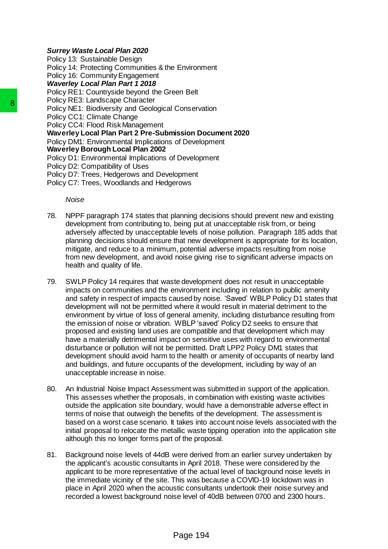### *Surrey Waste Local Plan 2020*

Policy 13: Sustainable Design Policy 14: Protecting Communities & the Environment Policy 16: Community Engagement *Waverley Local Plan Part 1 2018* Policy RE1: Countryside beyond the Green Belt Policy RE3: Landscape Character Policy NE1: Biodiversity and Geological Conservation Policy CC1: Climate Change Policy CC4: Flood Risk Management **Waverley Local Plan Part 2 Pre-Submission Document 2020** Policy DM1: Environmental Implications of Development **Waverley Borough Local Plan 2002** Policy D1: Environmental Implications of Development Policy D2: Compatibility of Uses Policy D7: Trees, Hedgerows and Development Policy C7: Trees, Woodlands and Hedgerows

*Noise*

- 78. NPPF paragraph 174 states that planning decisions should prevent new and existing development from contributing to, being put at unacceptable risk from, or being adversely affected by unacceptable levels of noise pollution. Paragraph 185 adds that planning decisions should ensure that new development is appropriate for its location, mitigate, and reduce to a minimum, potential adverse impacts resulting from noise from new development, and avoid noise giving rise to significant adverse impacts on health and quality of life.
- 79. SWLP Policy 14 requires that waste development does not result in unacceptable impacts on communities and the environment including in relation to public amenity and safety in respect of impacts caused by noise. 'Saved' WBLP Policy D1 states that development will not be permitted where it would result in material detriment to the environment by virtue of loss of general amenity, including disturbance resulting from the emission of noise or vibration. WBLP 'saved' Policy D2 seeks to ensure that proposed and existing land uses are compatible and that development which may have a materially detrimental impact on sensitive uses with regard to environmental disturbance or pollution will not be permitted. Draft LPP2 Policy DM1 states that development should avoid harm to the health or amenity of occupants of nearby land and buildings, and future occupants of the development, including by way of an unacceptable increase in noise. Folloty NET: Biodiversity kand deter<br>Folloty NET: Biodiversity and Geological Conservati<br>Folloty NET: Biodiversity and Geological Conservati<br>Folloty OC1: Climate Change<br>
Waverley Local Risk Management<br>
Waverley Local Risk
	- 80. An Industrial Noise Impact Assessment was submitted in support of the application. This assesses whether the proposals, in combination with existing waste activities outside the application site boundary, would have a demonstrable adverse effect in terms of noise that outweigh the benefits of the development. The assessment is based on a worst case scenario. It takes into account noise levels associated with the initial proposal to relocate the metallic waste tipping operation into the application site although this no longer forms part of the proposal.
	- 81. Background noise levels of 44dB were derived from an earlier survey undertaken by the applicant's acoustic consultants in April 2018. These were considered by the applicant to be more representative of the actual level of background noise levels in the immediate vicinity of the site. This was because a COVID-19 lockdown was in place in April 2020 when the acoustic consultants undertook their noise survey and recorded a lowest background noise level of 40dB between 0700 and 2300 hours.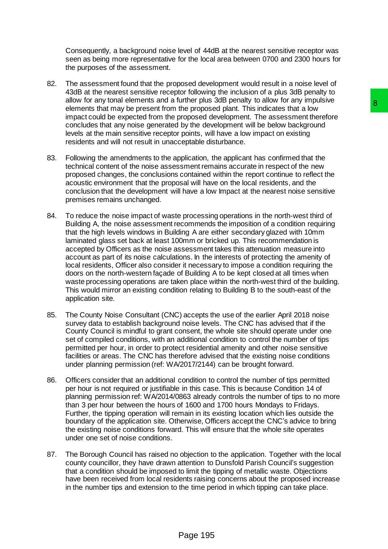Consequently, a background noise level of 44dB at the nearest sensitive receptor was seen as being more representative for the local area between 0700 and 2300 hours for the purposes of the assessment.

- 82. The assessment found that the proposed development would result in a noise level of 43dB at the nearest sensitive receptor following the inclusion of a plus 3dB penalty to allow for any tonal elements and a further plus 3dB penalty to allow for any impulsive elements that may be present from the proposed plant. This indicates that a low impact could be expected from the proposed development. The assessment therefore concludes that any noise generated by the development will be below background levels at the main sensitive receptor points, will have a low impact on existing residents and will not result in unacceptable disturbance.
- 83. Following the amendments to the application, the applicant has confirmed that the technical content of the noise assessment remains accurate in respect of the new proposed changes, the conclusions contained within the report continue to reflect the acoustic environment that the proposal will have on the local residents, and the conclusion that the development will have a low Impact at the nearest noise sensitive premises remains unchanged.
- 84. To reduce the noise impact of waste processing operations in the north-west third of Building A, the noise assessment recommends the imposition of a condition requiring that the high levels windows in Building A are either secondary glazed with 10mm laminated glass set back at least 100mm or bricked up. This recommendation is accepted by Officers as the noise assessment takes this attenuation measure into account as part of its noise calculations. In the interests of protecting the amenity of local residents, Officer also consider it necessary to impose a condition requiring the doors on the north-western façade of Building A to be kept closed at all times when waste processing operations are taken place within the north-west third of the building. This would mirror an existing condition relating to Building B to the south-east of the application site. ulture) subset per langua that the existence and the proposed plant. This indicates that a low<br>the proposed plant. This indicates that a low<br>by the development. The assessment therefore<br>by the development will be below bac
- 85. The County Noise Consultant (CNC) accepts the use of the earlier April 2018 noise survey data to establish background noise levels. The CNC has advised that if the County Council is mindful to grant consent, the whole site should operate under one set of compiled conditions, with an additional condition to control the number of tips permitted per hour, in order to protect residential amenity and other noise sensitive facilities or areas. The CNC has therefore advised that the existing noise conditions under planning permission (ref: WA/2017/2144) can be brought forward.
- 86. Officers consider that an additional condition to control the number of tips permitted per hour is not required or justifiable in this case. This is because Condition 14 of planning permission ref: WA/2014/0863 already controls the number of tips to no more than 3 per hour between the hours of 1600 and 1700 hours Mondays to Fridays. Further, the tipping operation will remain in its existing location which lies outside the boundary of the application site. Otherwise, Officers accept the CNC's advice to bring the existing noise conditions forward. This will ensure that the whole site operates under one set of noise conditions.
- 87. The Borough Council has raised no objection to the application. Together with the local county councillor, they have drawn attention to Dunsfold Parish Council's suggestion that a condition should be imposed to limit the tipping of metallic waste. Objections have been received from local residents raising concerns about the proposed increase in the number tips and extension to the time period in which tipping can take place.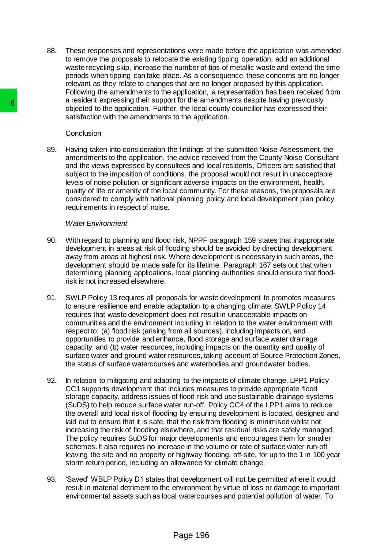88. These responses and representations were made before the application was amended to remove the proposals to relocate the existing tipping operation, add an additional waste recycling skip, increase the number of tips of metallic waste and extend the time periods when tipping can take place. As a consequence, these concerns are no longer relevant as they relate to changes that are no longer proposed by this application. Following the amendments to the application, a representation has been received from a resident expressing their support for the amendments despite having previously objected to the application. Further, the local county councillor has expressed their satisfaction with the amendments to the application.

#### **Conclusion**

89. Having taken into consideration the findings of the submitted Noise Assessment, the amendments to the application, the advice received from the County Noise Consultant and the views expressed by consultees and local residents, Officers are satisfied that subject to the imposition of conditions, the proposal would not result in unacceptable levels of noise pollution or significant adverse impacts on the environment, health, quality of life or amenity of the local community. For these reasons, the proposals are considered to comply with national planning policy and local development plan policy requirements in respect of noise.

#### *Water Environment*

- 90. With regard to planning and flood risk, NPPF paragraph 159 states that inappropriate development in areas at risk of flooding should be avoided by directing development away from areas at highest risk. Where development is necessary in such areas, the development should be made safe for its lifetime. Paragraph 167 sets out that when determining planning applications, local planning authorities should ensure that floodrisk is not increased elsewhere.
- 91. SWLP Policy 13 requires all proposals for waste development to promotes measures to ensure resilience and enable adaptation to a changing climate. SWLP Policy 14 requires that waste development does not result in unacceptable impacts on communities and the environment including in relation to the water environment with respect to: (a) flood risk (arising from all sources), including impacts on, and opportunities to provide and enhance, flood storage and surface water drainage capacity; and (b) water resources, including impacts on the quantity and quality of surface water and ground water resources, taking account of Source Protection Zones, the status of surface watercourses and waterbodies and groundwater bodies.
- 92. In relation to mitigating and adapting to the impacts of climate change, LPP1 Policy CC1 supports development that includes measures to provide appropriate flood storage capacity, address issues of flood risk and use sustainable drainage systems (SuDS) to help reduce surface water run-off. Policy CC4 of the LPP1 aims to reduce the overall and local risk of flooding by ensuring development is located, designed and laid out to ensure that it is safe, that the risk from flooding is minimised whilst not increasing the risk of flooding elsewhere, and that residual risks are safely managed. The policy requires SuDS for major developments and encourages them for smaller schemes. It also requires no increase in the volume or rate of surface water run-off leaving the site and no property or highway flooding, off-site, for up to the 1 in 100 year storm return period, including an allowance for climate change. 8<br>
a resultint explosion. Further, the local<br>
statistication the supplication. Further, the local<br>
statistication with the amendments to the application.<br>
Separation with the amendments to the application. Further, the loc
	- 93. 'Saved' WBLP Policy D1 states that development will not be permitted where it would result in material detriment to the environment by virtue of loss or damage to important environmental assets such as local watercourses and potential pollution of water. To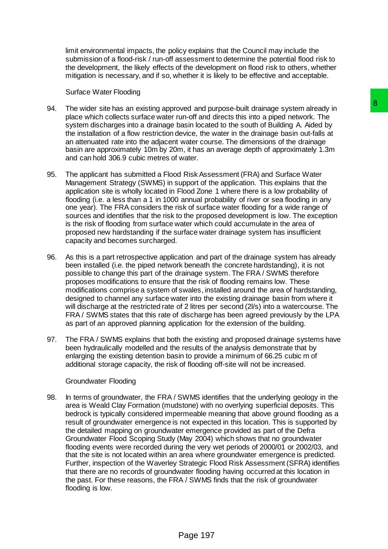limit environmental impacts, the policy explains that the Council may include the submission of a flood-risk / run-off assessment to determine the potential flood risk to the development, the likely effects of the development on flood risk to others, whether mitigation is necessary, and if so, whether it is likely to be effective and acceptable.

#### Surface Water Flooding

- 94. The wider site has an existing approved and purpose-built drainage system already in place which collects surface water run-off and directs this into a piped network. The system discharges into a drainage basin located to the south of Building A. Aided by the installation of a flow restriction device, the water in the drainage basin out-falls at an attenuated rate into the adjacent water course. The dimensions of the drainage basin are approximately 10m by 20m, it has an average depth of approximately 1.3m and can hold 306.9 cubic metres of water.
- 95. The applicant has submitted a Flood Risk Assessment (FRA) and Surface Water Management Strategy (SWMS) in support of the application. This explains that the application site is wholly located in Flood Zone 1 where there is a low probability of flooding (i.e. a less than a 1 in 1000 annual probability of river or sea flooding in any one year). The FRA considers the risk of surface water flooding for a wide range of sources and identifies that the risk to the proposed development is low. The exception is the risk of flooding from surface water which could accumulate in the area of proposed new hardstanding if the surface water drainage system has insufficient capacity and becomes surcharged.
- 96. As this is a part retrospective application and part of the drainage system has already been installed (i.e. the piped network beneath the concrete hardstanding), it is not possible to change this part of the drainage system. The FRA / SWMS therefore proposes modifications to ensure that the risk of flooding remains low. These modifications comprise a system of swales, installed around the area of hardstanding, designed to channel any surface water into the existing drainage basin from where it will discharge at the restricted rate of 2 litres per second (2l/s) into a watercourse. The FRA / SWMS states that this rate of discharge has been agreed previously by the LPA as part of an approved planning application for the extension of the building.
- 97. The FRA / SWMS explains that both the existing and proposed drainage systems have been hydraulically modelled and the results of the analysis demonstrate that by enlarging the existing detention basin to provide a minimum of 66.25 cubic m of additional storage capacity, the risk of flooding off-site will not be increased.

#### Groundwater Flooding

98. In terms of groundwater, the FRA / SWMS identifies that the underlying geology in the area is Weald Clay Formation (mudstone) with no overlying superficial deposits. This bedrock is typically considered impermeable meaning that above ground flooding as a result of groundwater emergence is not expected in this location. This is supported by the detailed mapping on groundwater emergence provided as part of the Defra Groundwater Flood Scoping Study (May 2004) which shows that no groundwater flooding events were recorded during the very wet periods of 2000/01 or 2002/03, and that the site is not located within an area where groundwater emergence is predicted. Further, inspection of the Waverley Strategic Flood Risk Assessment (SFRA) identifies that there are no records of groundwater flooding having occurred at this location in the past. For these reasons, the FRA / SWMS finds that the risk of groundwater flooding is low. aved and purpose-built drainage system already in<br>tun-off and directs this into a piped network. The<br>assin located to the south of Building A. Alded by<br>evoce, the water in the drainage basin out-falls at<br>water course. The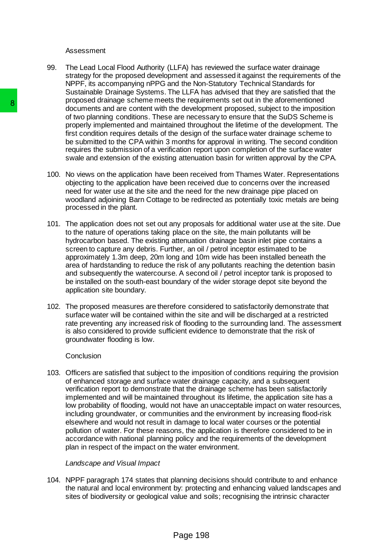#### Assessment

- 99. The Lead Local Flood Authority (LLFA) has reviewed the surface water drainage strategy for the proposed development and assessed it against the requirements of the NPPF, its accompanying nPPG and the Non-Statutory Technical Standards for Sustainable Drainage Systems. The LLFA has advised that they are satisfied that the proposed drainage scheme meets the requirements set out in the aforementioned documents and are content with the development proposed, subject to the imposition of two planning conditions. These are necessary to ensure that the SuDS Scheme is properly implemented and maintained throughout the lifetime of the development. The first condition requires details of the design of the surface water drainage scheme to be submitted to the CPA within 3 months for approval in writing. The second condition requires the submission of a verification report upon completion of the surface water swale and extension of the existing attenuation basin for written approval by the CPA.
- 100. No views on the application have been received from Thames Water. Representations objecting to the application have been received due to concerns over the increased need for water use at the site and the need for the new drainage pipe placed on woodland adjoining Barn Cottage to be redirected as potentially toxic metals are being processed in the plant.
- 101. The application does not set out any proposals for additional water use at the site. Due to the nature of operations taking place on the site, the main pollutants will be hydrocarbon based. The existing attenuation drainage basin inlet pipe contains a screen to capture any debris. Further, an oil / petrol inceptor estimated to be approximately 1.3m deep, 20m long and 10m wide has been installed beneath the area of hardstanding to reduce the risk of any pollutants reaching the detention basin and subsequently the watercourse. A second oil / petrol inceptor tank is proposed to be installed on the south-east boundary of the wider storage depot site beyond the application site boundary.
- 102. The proposed measures are therefore considered to satisfactorily demonstrate that surface water will be contained within the site and will be discharged at a restricted rate preventing any increased risk of flooding to the surrounding land. The assessment is also considered to provide sufficient evidence to demonstrate that the risk of groundwater flooding is low.

#### **Conclusion**

103. Officers are satisfied that subject to the imposition of conditions requiring the provision of enhanced storage and surface water drainage capacity, and a subsequent verification report to demonstrate that the drainage scheme has been satisfactorily implemented and will be maintained throughout its lifetime, the application site has a low probability of flooding, would not have an unacceptable impact on water resources, including groundwater, or communities and the environment by increasing flood-risk elsewhere and would not result in damage to local water courses or the potential pollution of water. For these reasons, the application is therefore considered to be in accordance with national planning policy and the requirements of the development plan in respect of the impact on the water environment. B<br>
proposed uralities where interest to reduce the proposed to documents and are concern with the develop<br>
of two planning conditions. These are necessare<br>
for properly implemented and maintained through<br>
frist condition r

#### *Landscape and Visual Impact*

104. NPPF paragraph 174 states that planning decisions should contribute to and enhance the natural and local environment by: protecting and enhancing valued landscapes and sites of biodiversity or geological value and soils; recognising the intrinsic character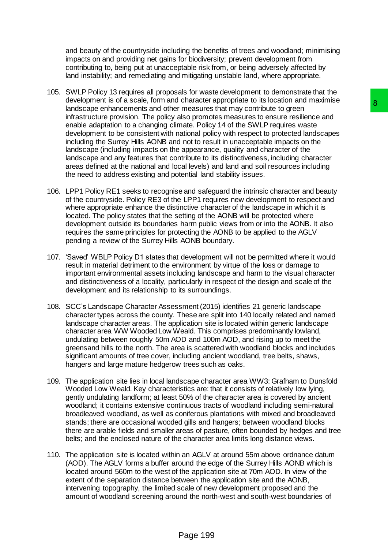and beauty of the countryside including the benefits of trees and woodland; minimising impacts on and providing net gains for biodiversity; prevent development from contributing to, being put at unacceptable risk from, or being adversely affected by land instability; and remediating and mitigating unstable land, where appropriate.

- 105. SWLP Policy 13 requires all proposals for waste development to demonstrate that the development is of a scale, form and character appropriate to its location and maximise landscape enhancements and other measures that may contribute to green infrastructure provision. The policy also promotes measures to ensure resilience and enable adaptation to a changing climate. Policy 14 of the SWLP requires waste development to be consistent with national policy with respect to protected landscapes including the Surrey Hills AONB and not to result in unacceptable impacts on the landscape (including impacts on the appearance, quality and character of the landscape and any features that contribute to its distinctiveness, including character areas defined at the national and local levels) and land and soil resources including the need to address existing and potential land stability issues. cirate alway by the the other states are the model of the contribute to green<br>
measures that may contribute to green<br>
and the product of the SWLP requires waste<br>
also promotes measures to ensure resilience and<br>
and a plot
- 106. LPP1 Policy RE1 seeks to recognise and safeguard the intrinsic character and beauty of the countryside. Policy RE3 of the LPP1 requires new development to respect and where appropriate enhance the distinctive character of the landscape in which it is located. The policy states that the setting of the AONB will be protected where development outside its boundaries harm public views from or into the AONB. It also requires the same principles for protecting the AONB to be applied to the AGLV pending a review of the Surrey Hills AONB boundary.
- 107. 'Saved' WBLP Policy D1 states that development will not be permitted where it would result in material detriment to the environment by virtue of the loss or damage to important environmental assets including landscape and harm to the visual character and distinctiveness of a locality, particularly in respect of the design and scale of the development and its relationship to its surroundings.
- 108. SCC's Landscape Character Assessment (2015) identifies 21 generic landscape character types across the county. These are split into 140 locally related and named landscape character areas. The application site is located within generic landscape character area WW Wooded Low Weald. This comprises predominantly lowland, undulating between roughly 50m AOD and 100m AOD, and rising up to meet the greensand hills to the north. The area is scattered with woodland blocks and includes significant amounts of tree cover, including ancient woodland, tree belts, shaws, hangers and large mature hedgerow trees such as oaks.
- 109. The application site lies in local landscape character area WW3: Grafham to Dunsfold Wooded Low Weald. Key characteristics are: that it consists of relatively low lying, gently undulating landform; at least 50% of the character area is covered by ancient woodland; it contains extensive continuous tracts of woodland including semi-natural broadleaved woodland, as well as coniferous plantations with mixed and broadleaved stands; there are occasional wooded gills and hangers; between woodland blocks there are arable fields and smaller areas of pasture, often bounded by hedges and tree belts; and the enclosed nature of the character area limits long distance views.
- 110. The application site is located within an AGLV at around 55m above ordnance datum (AOD). The AGLV forms a buffer around the edge of the Surrey Hills AONB which is located around 560m to the west of the application site at 70m AOD. In view of the extent of the separation distance between the application site and the AONB, intervening topography, the limited scale of new development proposed and the amount of woodland screening around the north-west and south-west boundaries of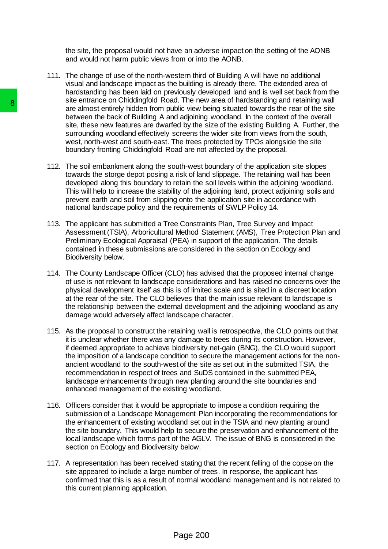the site, the proposal would not have an adverse impact on the setting of the AONB and would not harm public views from or into the AONB.

- 111. The change of use of the north-western third of Building A will have no additional visual and landscape impact as the building is already there. The extended area of hardstanding has been laid on previously developed land and is well set back from the site entrance on Chiddingfold Road. The new area of hardstanding and retaining wall are almost entirely hidden from public view being situated towards the rear of the site between the back of Building A and adjoining woodland. In the context of the overall site, these new features are dwarfed by the size of the existing Building A. Further, the surrounding woodland effectively screens the wider site from views from the south, west, north-west and south-east. The trees protected by TPOs alongside the site boundary fronting Chiddingfold Road are not affected by the proposal.
- 112. The soil embankment along the south-west boundary of the application site slopes towards the storge depot posing a risk of land slippage. The retaining wall has been developed along this boundary to retain the soil levels within the adjoining woodland. This will help to increase the stability of the adjoining land, protect adjoining soils and prevent earth and soil from slipping onto the application site in accordance with national landscape policy and the requirements of SWLP Policy 14.
- 113. The applicant has submitted a Tree Constraints Plan, Tree Survey and Impact Assessment (TSIA), Arboricultural Method Statement (AMS), Tree Protection Plan and Preliminary Ecological Appraisal (PEA) in support of the application. The details contained in these submissions are considered in the section on Ecology and Biodiversity below.
- 114. The County Landscape Officer (CLO) has advised that the proposed internal change of use is not relevant to landscape considerations and has raised no concerns over the physical development itself as this is of limited scale and is sited in a discreet location at the rear of the site. The CLO believes that the main issue relevant to landscape is the relationship between the external development and the adjoining woodland as any damage would adversely affect landscape character.
- 115. As the proposal to construct the retaining wall is retrospective, the CLO points out that it is unclear whether there was any damage to trees during its construction. However, if deemed appropriate to achieve biodiversity net-gain (BNG), the CLO would support the imposition of a landscape condition to secure the management actions for the nonancient woodland to the south-west of the site as set out in the submitted TSIA, the recommendation in respect of trees and SuDS contained in the submitted PEA, landscape enhancements through new planting around the site boundaries and enhanced management of the existing woodland. State entrates on the back of Bullding And and adjoining the set and the state site, these new features that back of Bullding A and adjoining west, north-west and oxid bit all and and adjoining west, north-west and south-e
	- 116. Officers consider that it would be appropriate to impose a condition requiring the submission of a Landscape Management Plan incorporating the recommendations for the enhancement of existing woodland set out in the TSIA and new planting around the site boundary. This would help to secure the preservation and enhancement of the local landscape which forms part of the AGLV. The issue of BNG is considered in the section on Ecology and Biodiversity below.
	- 117. A representation has been received stating that the recent felling of the copse on the site appeared to include a large number of trees. In response, the applicant has confirmed that this is as a result of normal woodland management and is not related to this current planning application.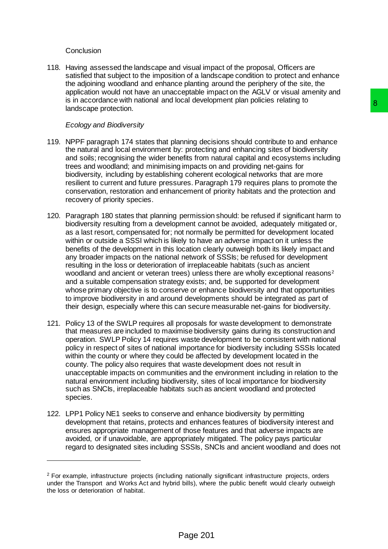## **Conclusion**

 $\overline{a}$ 

118. Having assessed the landscape and visual impact of the proposal, Officers are satisfied that subject to the imposition of a landscape condition to protect and enhance the adjoining woodland and enhance planting around the periphery of the site, the application would not have an unacceptable impact on the AGLV or visual amenity and is in accordance with national and local development plan policies relating to landscape protection.

## *Ecology and Biodiversity*

- 119. NPPF paragraph 174 states that planning decisions should contribute to and enhance the natural and local environment by: protecting and enhancing sites of biodiversity and soils; recognising the wider benefits from natural capital and ecosystems including trees and woodland; and minimising impacts on and providing net-gains for biodiversity, including by establishing coherent ecological networks that are more resilient to current and future pressures. Paragraph 179 requires plans to promote the conservation, restoration and enhancement of priority habitats and the protection and recovery of priority species.
- 120. Paragraph 180 states that planning permission should: be refused if significant harm to biodiversity resulting from a development cannot be avoided, adequately mitigated or, as a last resort, compensated for; not normally be permitted for development located within or outside a SSSI which is likely to have an adverse impact on it unless the benefits of the development in this location clearly outweigh both its likely impact and any broader impacts on the national network of SSSIs; be refused for development resulting in the loss or deterioration of irreplaceable habitats (such as ancient woodland and ancient or veteran trees) unless there are wholly exceptional reasons<sup>2</sup> and a suitable compensation strategy exists; and, be supported for development whose primary objective is to conserve or enhance biodiversity and that opportunities to improve biodiversity in and around developments should be integrated as part of their design, especially where this can secure measurable net-gains for biodiversity. based to the production and production and enhance of the production and enhance productions aboutd contribute to and enhance if  $\mu$ ; protecting and no hancing sites of biodiversity in greats of productions of an providin
- 121. Policy 13 of the SWLP requires all proposals for waste development to demonstrate that measures are included to maximise biodiversity gains during its construction and operation. SWLP Policy 14 requires waste development to be consistent with national policy in respect of sites of national importance for biodiversity including SSSIs located within the county or where they could be affected by development located in the county. The policy also requires that waste development does not result in unacceptable impacts on communities and the environment including in relation to the natural environment including biodiversity, sites of local importance for biodiversity such as SNCIs, irreplaceable habitats such as ancient woodland and protected species.
- 122. LPP1 Policy NE1 seeks to conserve and enhance biodiversity by permitting development that retains, protects and enhances features of biodiversity interest and ensures appropriate management of those features and that adverse impacts are avoided, or if unavoidable, are appropriately mitigated. The policy pays particular regard to designated sites including SSSIs, SNCIs and ancient woodland and does not

<sup>2</sup> For example, infrastructure projects (including nationally significant infrastructure projects, orders under the Transport and Works Act and hybrid bills), where the public benefit would clearly outweigh the loss or deterioration of habitat.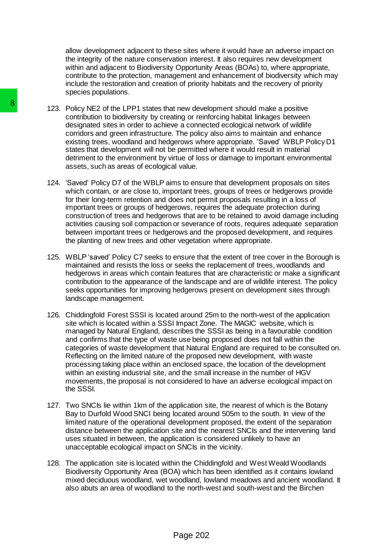allow development adjacent to these sites where it would have an adverse impact on the integrity of the nature conservation interest. It also requires new development within and adjacent to Biodiversity Opportunity Areas (BOAs) to, where appropriate, contribute to the protection, management and enhancement of biodiversity which may include the restoration and creation of priority habitats and the recovery of priority species populations.

- 123. Policy NE2 of the LPP1 states that new development should make a positive contribution to biodiversity by creating or reinforcing habitat linkages between designated sites in order to achieve a connected ecological network of wildlife corridors and green infrastructure. The policy also aims to maintain and enhance existing trees, woodland and hedgerows where appropriate. 'Saved' WBLP Policy D1 states that development will not be permitted where it would result in material detriment to the environment by virtue of loss or damage to important environmental assets, such as areas of ecological value.
- 124. 'Saved' Policy D7 of the WBLP aims to ensure that development proposals on sites which contain, or are close to, important trees, groups of trees or hedgerows provide for their long-term retention and does not permit proposals resulting in a loss of important trees or groups of hedgerows, requires the adequate protection during construction of trees and hedgerows that are to be retained to avoid damage including activities causing soil compaction or severance of roots, requires adequate separation between important trees or hedgerows and the proposed development, and requires the planting of new trees and other vegetation where appropriate.
- 125. WBLP 'saved' Policy C7 seeks to ensure that the extent of tree cover in the Borough is maintained and resists the loss or seeks the replacement of trees, woodlands and hedgerows in areas which contain features that are characteristic or make a significant contribution to the appearance of the landscape and are of wildlife interest. The policy seeks opportunities for improving hedgerows present on development sites through landscape management.
- 126. Chiddingfold Forest SSSI is located around 25m to the north-west of the application site which is located within a SSSI Impact Zone. The MAGIC website, which is managed by Natural England, describes the SSSI as being in a favourable condition and confirms that the type of waste use being proposed does not fall within the categories of waste development that Natural England are required to be consulted on. Reflecting on the limited nature of the proposed new development, with waste processing taking place within an enclosed space, the location of the development within an existing industrial site, and the small increase in the number of HGV movements, the proposal is not considered to have an adverse ecological impact on the SSSI. 8<br>
123. Policy NE2 of the LPP1 states that new devel<br>
contribution to biodiversity by creating or reint<br>
corridos and gene minfrastructure. The policy<br>
cersions and gene infastructure at complex<br>
existing trees, woodland
	- 127. Two SNCIs lie within 1km of the application site, the nearest of which is the Botany Bay to Durfold Wood SNCI being located around 505m to the south. In view of the limited nature of the operational development proposed, the extent of the separation distance between the application site and the nearest SNCIs and the intervening land uses situated in between, the application is considered unlikely to have an unacceptable ecological impact on SNCIs in the vicinity.
	- 128. The application site is located within the Chiddingfold and West Weald Woodlands Biodiversity Opportunity Area (BOA) which has been identified as it contains lowland mixed deciduous woodland, wet woodland, lowland meadows and ancient woodland. It also abuts an area of woodland to the north-west and south-west and the Birchen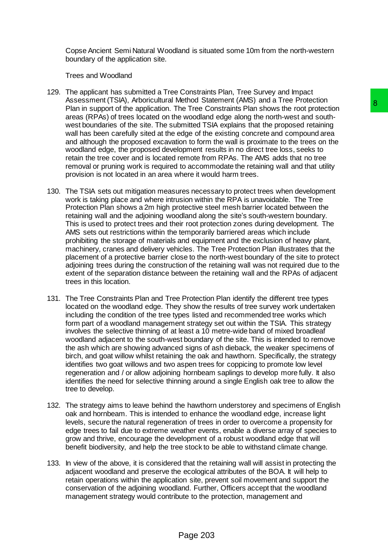Copse Ancient Semi Natural Woodland is situated some 10m from the north-western boundary of the application site.

Trees and Woodland

- 129. The applicant has submitted a Tree Constraints Plan, Tree Survey and Impact Assessment (TSIA), Arboricultural Method Statement (AMS) and a Tree Protection Plan in support of the application. The Tree Constraints Plan shows the root protection areas (RPAs) of trees located on the woodland edge along the north-west and southwest boundaries of the site. The submitted TSIA explains that the proposed retaining wall has been carefully sited at the edge of the existing concrete and compound area and although the proposed excavation to form the wall is proximate to the trees on the woodland edge, the proposed development results in no direct tree loss, seeks to retain the tree cover and is located remote from RPAs. The AMS adds that no tree removal or pruning work is required to accommodate the retaining wall and that utility provision is not located in an area where it would harm trees.
- 130. The TSIA sets out mitigation measures necessary to protect trees when development work is taking place and where intrusion within the RPA is unavoidable. The Tree Protection Plan shows a 2m high protective steel mesh barrier located between the retaining wall and the adjoining woodland along the site's south-western boundary. This is used to protect trees and their root protection zones during development. The AMS sets out restrictions within the temporarily barriered areas which include prohibiting the storage of materials and equipment and the exclusion of heavy plant, machinery, cranes and delivery vehicles. The Tree Protection Plan illustrates that the placement of a protective barrier close to the north-west boundary of the site to protect adjoining trees during the construction of the retaining wall was not required due to the extent of the separation distance between the retaining wall and the RPAs of adjacent trees in this location. between the constraints Plan shows the rote-to-to-<br>he Tree Constraints Plan shows the root protection<br>or order of the existing only the noth-west and south-<br>morded and gap along the north-west and compound area for<br>any ord
- 131. The Tree Constraints Plan and Tree Protection Plan identify the different tree types located on the woodland edge. They show the results of tree survey work undertaken including the condition of the tree types listed and recommended tree works which form part of a woodland management strategy set out within the TSIA. This strategy involves the selective thinning of at least a 10 metre-wide band of mixed broadleaf woodland adjacent to the south-west boundary of the site. This is intended to remove the ash which are showing advanced signs of ash dieback, the weaker specimens of birch, and goat willow whilst retaining the oak and hawthorn. Specifically, the strategy identifies two goat willows and two aspen trees for coppicing to promote low level regeneration and / or allow adjoining hornbeam saplings to develop more fully. It also identifies the need for selective thinning around a single English oak tree to allow the tree to develop.
- 132. The strategy aims to leave behind the hawthorn understorey and specimens of English oak and hornbeam. This is intended to enhance the woodland edge, increase light levels, secure the natural regeneration of trees in order to overcome a propensity for edge trees to fail due to extreme weather events, enable a diverse array of species to grow and thrive, encourage the development of a robust woodland edge that will benefit biodiversity, and help the tree stock to be able to withstand climate change.
- 133. In view of the above, it is considered that the retaining wall will assist in protecting the adjacent woodland and preserve the ecological attributes of the BOA. It will help to retain operations within the application site, prevent soil movement and support the conservation of the adjoining woodland. Further, Officers accept that the woodland management strategy would contribute to the protection, management and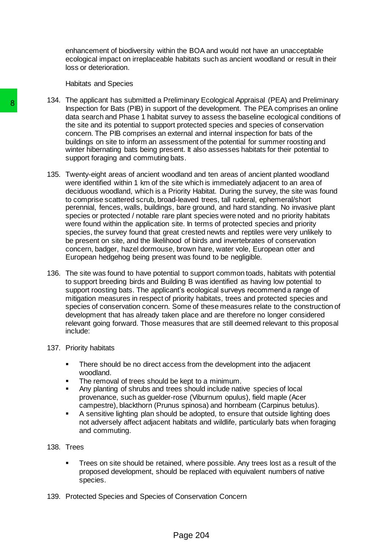enhancement of biodiversity within the BOA and would not have an unacceptable ecological impact on irreplaceable habitats such as ancient woodland or result in their loss or deterioration.

Habitats and Species

- 134. The applicant has submitted a Preliminary Ecological Appraisal (PEA) and Preliminary Inspection for Bats (PIB) in support of the development. The PEA comprises an online data search and Phase 1 habitat survey to assess the baseline ecological conditions of the site and its potential to support protected species and species of conservation concern. The PIB comprises an external and internal inspection for bats of the buildings on site to inform an assessment of the potential for summer roosting and winter hibernating bats being present. It also assesses habitats for their potential to support foraging and commuting bats.
- 135. Twenty-eight areas of ancient woodland and ten areas of ancient planted woodland were identified within 1 km of the site which is immediately adjacent to an area of deciduous woodland, which is a Priority Habitat. During the survey, the site was found to comprise scattered scrub, broad-leaved trees, tall ruderal, ephemeral/short perennial, fences, walls, buildings, bare ground, and hard standing. No invasive plant species or protected / notable rare plant species were noted and no priority habitats were found within the application site. In terms of protected species and priority species, the survey found that great crested newts and reptiles were very unlikely to be present on site, and the likelihood of birds and invertebrates of conservation concern, badger, hazel dormouse, brown hare, water vole, European otter and European hedgehog being present was found to be negligible. The supplicant it as solution at Treminanty Evidentia and Phase finalization of Data (PIB) in support of the develoption for Bast Packing that such the stile size the site and its potential to support protected concern. Th
	- 136. The site was found to have potential to support common toads, habitats with potential to support breeding birds and Building B was identified as having low potential to support roosting bats. The applicant's ecological surveys recommend a range of mitigation measures in respect of priority habitats, trees and protected species and species of conservation concern. Some of these measures relate to the construction of development that has already taken place and are therefore no longer considered relevant going forward. Those measures that are still deemed relevant to this proposal include:

## 137. Priority habitats

- There should be no direct access from the development into the adjacent woodland.
- The removal of trees should be kept to a minimum.
- Any planting of shrubs and trees should include native species of local provenance, such as guelder-rose (Viburnum opulus), field maple (Acer campestre), blackthorn (Prunus spinosa) and hornbeam (Carpinus betulus).
- A sensitive lighting plan should be adopted, to ensure that outside lighting does not adversely affect adjacent habitats and wildlife, particularly bats when foraging and commuting.

## 138. Trees

- Trees on site should be retained, where possible. Any trees lost as a result of the proposed development, should be replaced with equivalent numbers of native species.
- 139. Protected Species and Species of Conservation Concern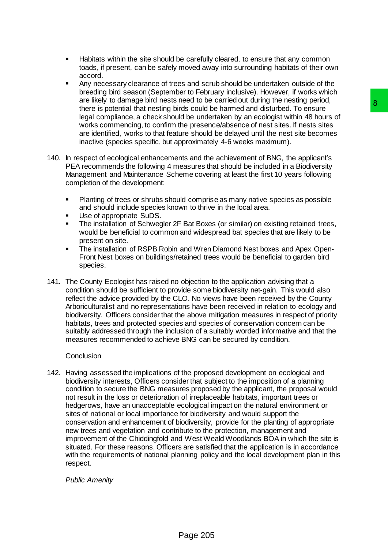- Habitats within the site should be carefully cleared, to ensure that any common toads, if present, can be safely moved away into surrounding habitats of their own accord.
- Any necessary clearance of trees and scrub should be undertaken outside of the breeding bird season (September to February inclusive). However, if works which are likely to damage bird nests need to be carried out during the nesting period, there is potential that nesting birds could be harmed and disturbed. To ensure legal compliance, a check should be undertaken by an ecologist within 48 hours of works commencing, to confirm the presence/absence of nest sites. If nests sites are identified, works to that feature should be delayed until the nest site becomes inactive (species specific, but approximately 4-6 weeks maximum).
- 140. In respect of ecological enhancements and the achievement of BNG, the applicant's PEA recommends the following 4 measures that should be included in a Biodiversity Management and Maintenance Scheme covering at least the first 10 years following completion of the development:
	- Planting of trees or shrubs should comprise as many native species as possible and should include species known to thrive in the local area.
	- Use of appropriate SuDS.
	- The installation of Schwegler 2F Bat Boxes (or similar) on existing retained trees, would be beneficial to common and widespread bat species that are likely to be present on site.
	- The installation of RSPB Robin and Wren Diamond Nest boxes and Apex Open-Front Nest boxes on buildings/retained trees would be beneficial to garden bird species.
- 141. The County Ecologist has raised no objection to the application advising that a condition should be sufficient to provide some biodiversity net-gain. This would also reflect the advice provided by the CLO. No views have been received by the County Arboriculturalist and no representations have been received in relation to ecology and biodiversity. Officers consider that the above mitigation measures in respect of priority habitats, trees and protected species and species of conservation concern can be suitably addressed through the inclusion of a suitably worded informative and that the measures recommended to achieve BNG can be secured by condition.

#### **Conclusion**

142. Having assessed the implications of the proposed development on ecological and biodiversity interests, Officers consider that subject to the imposition of a planning condition to secure the BNG measures proposed by the applicant, the proposal would not result in the loss or deterioration of irreplaceable habitats, important trees or hedgerows, have an unacceptable ecological impact on the natural environment or sites of national or local importance for biodiversity and would support the conservation and enhancement of biodiversity, provide for the planting of appropriate new trees and vegetation and contribute to the protection, management and improvement of the Chiddingfold and West Weald Woodlands BOA in which the site is situated. For these reasons, Officers are satisfied that the application is in accordance with the requirements of national planning policy and the local development plan in this respect. new to be cannel out aning the resumpt period of the cannel and disturbed. To ensure<br>this could be harmed and disturbed. To ensure<br>the presence/absence of nest sites. If nests is<br>the presence/absence of nest sites. If nest

*Public Amenity*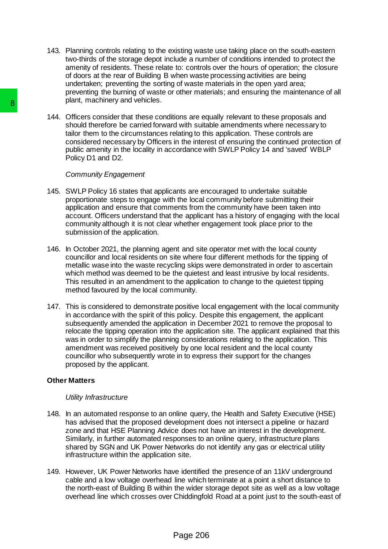- 143. Planning controls relating to the existing waste use taking place on the south-eastern two-thirds of the storage depot include a number of conditions intended to protect the amenity of residents. These relate to: controls over the hours of operation; the closure of doors at the rear of Building B when waste processing activities are being undertaken; preventing the sorting of waste materials in the open yard area; preventing the burning of waste or other materials; and ensuring the maintenance of all plant, machinery and vehicles.
- 144. Officers consider that these conditions are equally relevant to these proposals and should therefore be carried forward with suitable amendments where necessary to tailor them to the circumstances relating to this application. These controls are considered necessary by Officers in the interest of ensuring the continued protection of public amenity in the locality in accordance with SWLP Policy 14 and 'saved' WBLP Policy D1 and D2.

#### *Community Engagement*

- 145. SWLP Policy 16 states that applicants are encouraged to undertake suitable proportionate steps to engage with the local community before submitting their application and ensure that comments from the community have been taken into account. Officers understand that the applicant has a history of engaging with the local community although it is not clear whether engagement took place prior to the submission of the application.
- 146. In October 2021, the planning agent and site operator met with the local county councillor and local residents on site where four different methods for the tipping of metallic wase into the waste recycling skips were demonstrated in order to ascertain which method was deemed to be the quietest and least intrusive by local residents. This resulted in an amendment to the application to change to the quietest tipping method favoured by the local community.
- 147. This is considered to demonstrate positive local engagement with the local community in accordance with the spirit of this policy. Despite this engagement, the applicant subsequently amended the application in December 2021 to remove the proposal to relocate the tipping operation into the application site. The applicant explained that this was in order to simplify the planning considerations relating to the application. This amendment was received positively by one local resident and the local county councillor who subsequently wrote in to express their support for the changes proposed by the applicant. Martin, inatialities are and ventions are applicated that these conditions are equilibrican more the circumstances relating to this considered necessary by Officers in the interpretation of the properties of the properties

## **Other Matters**

#### *Utility Infrastructure*

- 148. In an automated response to an online query, the Health and Safety Executive (HSE) has advised that the proposed development does not intersect a pipeline or hazard zone and that HSE Planning Advice does not have an interest in the development. Similarly, in further automated responses to an online query, infrastructure plans shared by SGN and UK Power Networks do not identify any gas or electrical utility infrastructure within the application site.
- 149. However, UK Power Networks have identified the presence of an 11kV underground cable and a low voltage overhead line which terminate at a point a short distance to the north-east of Building B within the wider storage depot site as well as a low voltage overhead line which crosses over Chiddingfold Road at a point just to the south-east of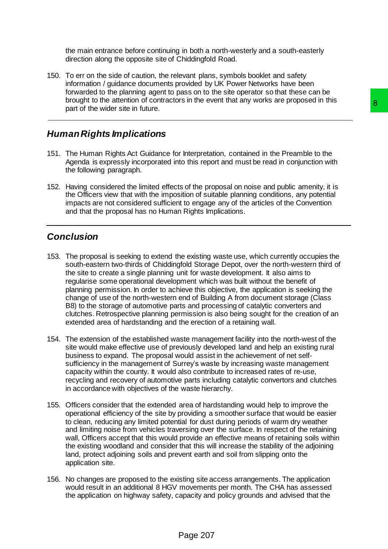the main entrance before continuing in both a north-westerly and a south-easterly direction along the opposite site of Chiddingfold Road.

150. To err on the side of caution, the relevant plans, symbols booklet and safety information / guidance documents provided by UK Power Networks have been forwarded to the planning agent to pass on to the site operator so that these can be brought to the attention of contractors in the event that any works are proposed in this part of the wider site in future.

# *Human Rights Implications*

- 151. The Human Rights Act Guidance for Interpretation, contained in the Preamble to the Agenda is expressly incorporated into this report and must be read in conjunction with the following paragraph.
- 152. Having considered the limited effects of the proposal on noise and public amenity, it is the Officers view that with the imposition of suitable planning conditions, any potential impacts are not considered sufficient to engage any of the articles of the Convention and that the proposal has no Human Rights Implications.

# *Conclusion*

- 153. The proposal is seeking to extend the existing waste use, which currently occupies the south-eastern two-thirds of Chiddingfold Storage Depot, over the north-western third of the site to create a single planning unit for waste development. It also aims to regularise some operational development which was built without the benefit of planning permission. In order to achieve this objective, the application is seeking the change of use of the north-western end of Building A from document storage (Class B8) to the storage of automotive parts and processing of catalytic converters and clutches. Retrospective planning permission is also being sought for the creation of an extended area of hardstanding and the erection of a retaining wall. It is the proposition, contrained in the Preamble to the Bridget and the Bridget and the Bridget and the Bridget and the state of the proposal on noise and public amenity, it is so the proposal on noise and public amenity,
- 154. The extension of the established waste management facility into the north-west of the site would make effective use of previously developed land and help an existing rural business to expand. The proposal would assist in the achievement of net selfsufficiency in the management of Surrey's waste by increasing waste management capacity within the county. It would also contribute to increased rates of re-use, recycling and recovery of automotive parts including catalytic convertors and clutches in accordance with objectives of the waste hierarchy.
- 155. Officers consider that the extended area of hardstanding would help to improve the operational efficiency of the site by providing a smoother surface that would be easier to clean, reducing any limited potential for dust during periods of warm dry weather and limiting noise from vehicles traversing over the surface. In respect of the retaining wall, Officers accept that this would provide an effective means of retaining soils within the existing woodland and consider that this will increase the stability of the adjoining land, protect adjoining soils and prevent earth and soil from slipping onto the application site.
- 156. No changes are proposed to the existing site access arrangements. The application would result in an additional 8 HGV movements per month. The CHA has assessed the application on highway safety, capacity and policy grounds and advised that the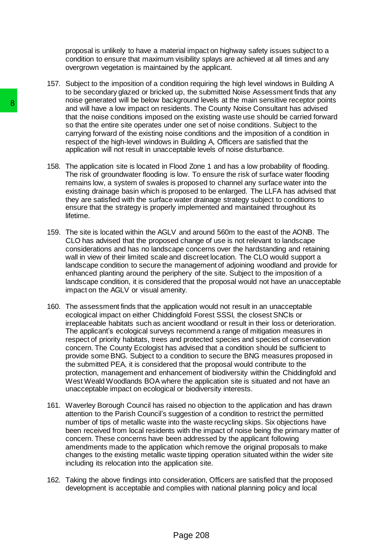proposal is unlikely to have a material impact on highway safety issues subject to a condition to ensure that maximum visibility splays are achieved at all times and any overgrown vegetation is maintained by the applicant.

- 157. Subject to the imposition of a condition requiring the high level windows in Building A to be secondary glazed or bricked up, the submitted Noise Assessment finds that any noise generated will be below background levels at the main sensitive receptor points and will have a low impact on residents. The County Noise Consultant has advised that the noise conditions imposed on the existing waste use should be carried forward so that the entire site operates under one set of noise conditions. Subject to the carrying forward of the existing noise conditions and the imposition of a condition in respect of the high-level windows in Building A, Officers are satisfied that the application will not result in unacceptable levels of noise disturbance.
- 158. The application site is located in Flood Zone 1 and has a low probability of flooding. The risk of groundwater flooding is low. To ensure the risk of surface water flooding remains low, a system of swales is proposed to channel any surface water into the existing drainage basin which is proposed to be enlarged. The LLFA has advised that they are satisfied with the surface water drainage strategy subject to conditions to ensure that the strategy is properly implemented and maintained throughout its lifetime.
- 159. The site is located within the AGLV and around 560m to the east of the AONB. The CLO has advised that the proposed change of use is not relevant to landscape considerations and has no landscape concerns over the hardstanding and retaining wall in view of their limited scale and discreet location. The CLO would support a landscape condition to secure the management of adjoining woodland and provide for enhanced planting around the periphery of the site. Subject to the imposition of a landscape condition, it is considered that the proposal would not have an unacceptable impact on the AGLV or visual amenity.
- 160. The assessment finds that the application would not result in an unacceptable ecological impact on either Chiddingfold Forest SSSI, the closest SNCIs or irreplaceable habitats such as ancient woodland or result in their loss or deterioration. The applicant's ecological surveys recommend a range of mitigation measures in respect of priority habitats, trees and protected species and species of conservation concern. The County Ecologist has advised that a condition should be sufficient to provide some BNG. Subject to a condition to secure the BNG measures proposed in the submitted PEA, it is considered that the proposal would contribute to the protection, management and enhancement of biodiversity within the Chiddingfold and West Weald Woodlands BOA where the application site is situated and not have an unacceptable impact on ecological or biodiversity interests. The state the noise of the entire that the best will have a low impact on residents. The that the noise on the conditions impact on the state operates under one set carrying forward of the existing noise condition, applica
	- 161. Waverley Borough Council has raised no objection to the application and has drawn attention to the Parish Council's suggestion of a condition to restrict the permitted number of tips of metallic waste into the waste recycling skips. Six objections have been received from local residents with the impact of noise being the primary matter of concern. These concerns have been addressed by the applicant following amendments made to the application which remove the original proposals to make changes to the existing metallic waste tipping operation situated within the wider site including its relocation into the application site.
	- 162. Taking the above findings into consideration, Officers are satisfied that the proposed development is acceptable and complies with national planning policy and local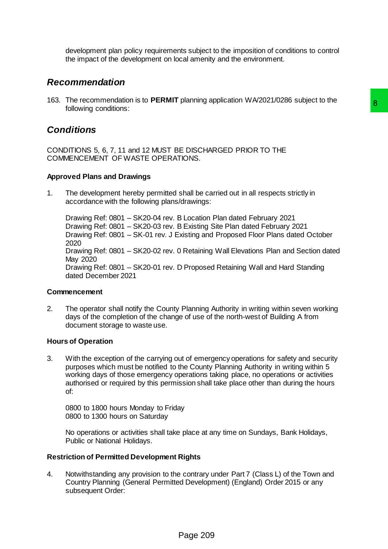development plan policy requirements subject to the imposition of conditions to control the impact of the development on local amenity and the environment.

# *Recommendation*

163. The recommendation is to **PERMIT** planning application WA/2021/0286 subject to the following conditions:

# *Conditions*

CONDITIONS 5, 6, 7, 11 and 12 MUST BE DISCHARGED PRIOR TO THE COMMENCEMENT OF WASTE OPERATIONS.

## **Approved Plans and Drawings**

1. The development hereby permitted shall be carried out in all respects strictly in accordance with the following plans/drawings:

Drawing Ref: 0801 – SK20-04 rev. B Location Plan dated February 2021 Drawing Ref: 0801 – SK20-03 rev. B Existing Site Plan dated February 2021 Drawing Ref: 0801 – SK-01 rev. J Existing and Proposed Floor Plans dated October 2020 Drawing Ref: 0801 – SK20-02 rev. 0 Retaining Wall Elevations Plan and Section dated May 2020 Drawing Ref: 0801 – SK20-01 rev. D Proposed Retaining Wall and Hard Standing dated December 2021 planning application with all respects strictly in<br>E DISCHARGED PRIOR TO THE<br>TIONS.<br>Shall be carried out in all respects strictly in<br>dirawings:<br>B Location Plan dated February 2021<br>E Existing and Proposed February 2021<br>Skis

## **Commencement**

2. The operator shall notify the County Planning Authority in writing within seven working days of the completion of the change of use of the north-west of Building A from document storage to waste use.

## **Hours of Operation**

3. With the exception of the carrying out of emergency operations for safety and security purposes which must be notified to the County Planning Authority in writing within 5 working days of those emergency operations taking place, no operations or activities authorised or required by this permission shall take place other than during the hours of:

0800 to 1800 hours Monday to Friday 0800 to 1300 hours on Saturday

No operations or activities shall take place at any time on Sundays, Bank Holidays, Public or National Holidays.

## **Restriction of Permitted Development Rights**

4. Notwithstanding any provision to the contrary under Part 7 (Class L) of the Town and Country Planning (General Permitted Development) (England) Order 2015 or any subsequent Order: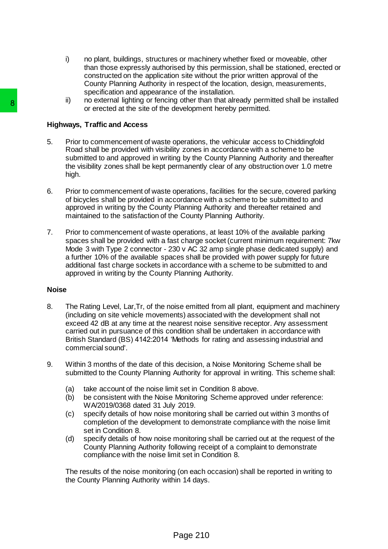- i) no plant, buildings, structures or machinery whether fixed or moveable, other than those expressly authorised by this permission, shall be stationed, erected or constructed on the application site without the prior written approval of the County Planning Authority in respect of the location, design, measurements, specification and appearance of the installation.
- ii) no external lighting or fencing other than that already permitted shall be installed or erected at the site of the development hereby permitted.

## **Highways, Traffic and Access**

- 5. Prior to commencement of waste operations, the vehicular access to Chiddingfold Road shall be provided with visibility zones in accordance with a scheme to be submitted to and approved in writing by the County Planning Authority and thereafter the visibility zones shall be kept permanently clear of any obstruction over 1.0 metre high.
- 6. Prior to commencement of waste operations, facilities for the secure, covered parking of bicycles shall be provided in accordance with a scheme to be submitted to and approved in writing by the County Planning Authority and thereafter retained and maintained to the satisfaction of the County Planning Authority.
- 7. Prior to commencement of waste operations, at least 10% of the available parking spaces shall be provided with a fast charge socket (current minimum requirement: 7kw Mode 3 with Type 2 connector - 230 v AC 32 amp single phase dedicated supply) and a further 10% of the available spaces shall be provided with power supply for future additional fast charge sockets in accordance with a scheme to be submitted to and approved in writing by the County Planning Authority. or or exceled at the slie of the development<br>or or erected at the slie of the development<br>Highways, Traffic and Access<br>5. Prior to commencement of wastele perations,<br>Road shall be provided with visibility zones in<br>the wisi

### **Noise**

- 8. The Rating Level, Lar,Tr, of the noise emitted from all plant, equipment and machinery (including on site vehicle movements) associated with the development shall not exceed 42 dB at any time at the nearest noise sensitive receptor. Any assessment carried out in pursuance of this condition shall be undertaken in accordance with British Standard (BS) 4142:2014 'Methods for rating and assessing industrial and commercial sound'.
- 9. Within 3 months of the date of this decision, a Noise Monitoring Scheme shall be submitted to the County Planning Authority for approval in writing. This scheme shall:
	- (a) take account of the noise limit set in Condition 8 above.
	- (b) be consistent with the Noise Monitoring Scheme approved under reference: WA/2019/0368 dated 31 July 2019.
	- (c) specify details of how noise monitoring shall be carried out within 3 months of completion of the development to demonstrate compliance with the noise limit set in Condition 8.
	- (d) specify details of how noise monitoring shall be carried out at the request of the County Planning Authority following receipt of a complaint to demonstrate compliance with the noise limit set in Condition 8.

The results of the noise monitoring (on each occasion) shall be reported in writing to the County Planning Authority within 14 days.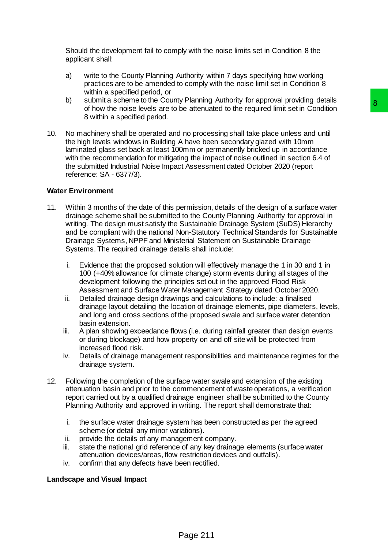Should the development fail to comply with the noise limits set in Condition 8 the applicant shall:

- a) write to the County Planning Authority within 7 days specifying how working practices are to be amended to comply with the noise limit set in Condition 8 within a specified period, or
- b) submit a scheme to the County Planning Authority for approval providing details of how the noise levels are to be attenuated to the required limit set in Condition 8 within a specified period.
- 10. No machinery shall be operated and no processing shall take place unless and until the high levels windows in Building A have been secondary glazed with 10mm laminated glass set back at least 100mm or permanently bricked up in accordance with the recommendation for mitigating the impact of noise outlined in section 6.4 of the submitted Industrial Noise Impact Assessment dated October 2020 (report reference: SA - 6377/3).

### **Water Environment**

- 11. Within 3 months of the date of this permission, details of the design of a surface water drainage scheme shall be submitted to the County Planning Authority for approval in writing. The design must satisfy the Sustainable Drainage System (SuDS) Hierarchy and be compliant with the national Non-Statutory Technical Standards for Sustainable Drainage Systems, NPPF and Ministerial Statement on Sustainable Drainage Systems. The required drainage details shall include: y Familing Youtubry to "explorate the method of the attention of the attention of the reduced limit set in Condition<br>The attention of processing shall take place unless and until<br>A have been secondary glazed with 10mm<br>of t
	- i. Evidence that the proposed solution will effectively manage the 1 in 30 and 1 in 100 (+40% allowance for climate change) storm events during all stages of the development following the principles set out in the approved Flood Risk Assessment and Surface Water Management Strategy dated October 2020.
	- ii. Detailed drainage design drawings and calculations to include: a finalised drainage layout detailing the location of drainage elements, pipe diameters, levels, and long and cross sections of the proposed swale and surface water detention basin extension.
	- iii. A plan showing exceedance flows (i.e. during rainfall greater than design events or during blockage) and how property on and off site will be protected from increased flood risk.
	- iv. Details of drainage management responsibilities and maintenance regimes for the drainage system.
- 12. Following the completion of the surface water swale and extension of the existing attenuation basin and prior to the commencement of waste operations, a verification report carried out by a qualified drainage engineer shall be submitted to the County Planning Authority and approved in writing. The report shall demonstrate that:
	- i. the surface water drainage system has been constructed as per the agreed scheme (or detail any minor variations).
	- ii. provide the details of any management company.
	- iii. state the national grid reference of any key drainage elements (surface water attenuation devices/areas, flow restriction devices and outfalls).
	- iv. confirm that any defects have been rectified.

#### **Landscape and Visual Impact**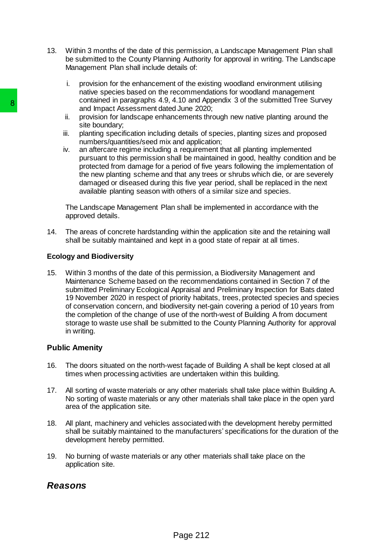- 13. Within 3 months of the date of this permission, a Landscape Management Plan shall be submitted to the County Planning Authority for approval in writing. The Landscape Management Plan shall include details of:
	- i. provision for the enhancement of the existing woodland environment utilising native species based on the recommendations for woodland management contained in paragraphs 4.9, 4.10 and Appendix 3 of the submitted Tree Survey and Impact Assessment dated June 2020;
	- ii. provision for landscape enhancements through new native planting around the site boundary;
	- iii. planting specification including details of species, planting sizes and proposed numbers/quantities/seed mix and application;
	- iv. an aftercare regime including a requirement that all planting implemented pursuant to this permission shall be maintained in good, healthy condition and be protected from damage for a period of five years following the implementation of the new planting scheme and that any trees or shrubs which die, or are severely damaged or diseased during this five year period, shall be replaced in the next available planting season with others of a similar size and species.

The Landscape Management Plan shall be implemented in accordance with the approved details.

14. The areas of concrete hardstanding within the application site and the retaining wall shall be suitably maintained and kept in a good state of repair at all times.

## **Ecology and Biodiversity**

15. Within 3 months of the date of this permission, a Biodiversity Management and Maintenance Scheme based on the recommendations contained in Section 7 of the submitted Preliminary Ecological Appraisal and Preliminary Inspection for Bats dated 19 November 2020 in respect of priority habitats, trees, protected species and species of conservation concern, and biodiversity net-gain covering a period of 10 years from the completion of the change of use of the north-west of Building A from document storage to waste use shall be submitted to the County Planning Authority for approval in writing. **S**<br>
and Impact Assessment dated June 2022<br>
in and Impact Assessment dated June 2022<br>
ii. provision for landscape enhancements the<br>
stile boundary,<br>
iii. planting specification including details of<br>
iv. an antercare regime

## **Public Amenity**

- 16. The doors situated on the north-west façade of Building A shall be kept closed at all times when processing activities are undertaken within this building.
- 17. All sorting of waste materials or any other materials shall take place within Building A. No sorting of waste materials or any other materials shall take place in the open yard area of the application site.
- 18. All plant, machinery and vehicles associated with the development hereby permitted shall be suitably maintained to the manufacturers' specifications for the duration of the development hereby permitted.
- 19. No burning of waste materials or any other materials shall take place on the application site.

# *Reasons*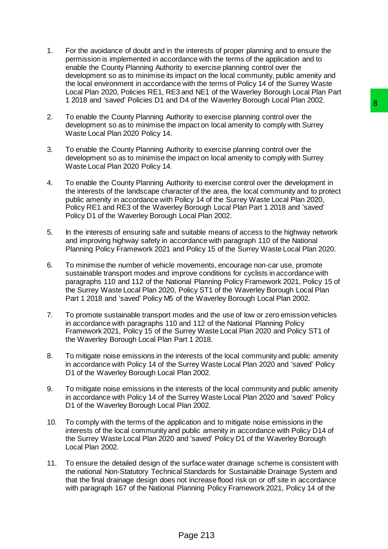- 1. For the avoidance of doubt and in the interests of proper planning and to ensure the permission is implemented in accordance with the terms of the application and to enable the County Planning Authority to exercise planning control over the development so as to minimise its impact on the local community, public amenity and the local environment in accordance with the terms of Policy 14 of the Surrey Waste Local Plan 2020, Policies RE1, RE3 and NE1 of the Waverley Borough Local Plan Part 1 2018 and 'saved' Policies D1 and D4 of the Waverley Borough Local Plan 2002.
- 2. To enable the County Planning Authority to exercise planning control over the development so as to minimise the impact on local amenity to comply with Surrey Waste Local Plan 2020 Policy 14.
- 3. To enable the County Planning Authority to exercise planning control over the development so as to minimise the impact on local amenity to comply with Surrey Waste Local Plan 2020 Policy 14.
- 4. To enable the County Planning Authority to exercise control over the development in the interests of the landscape character of the area, the local community and to protect public amenity in accordance with Policy 14 of the Surrey Waste Local Plan 2020, Policy RE1 and RE3 of the Waverley Borough Local Plan Part 1 2018 and 'saved' Policy D1 of the Waverley Borough Local Plan 2002.
- 5. In the interests of ensuring safe and suitable means of access to the highway network and improving highway safety in accordance with paragraph 110 of the National Planning Policy Framework 2021 and Policy 15 of the Surrey Waste Local Plan 2020.
- 6. To minimise the number of vehicle movements, encourage non-car use, promote sustainable transport modes and improve conditions for cyclists in accordance with paragraphs 110 and 112 of the National Planning Policy Framework 2021, Policy 15 of the Surrey Waste Local Plan 2020, Policy ST1 of the Waverley Borough Local Plan Part 1 2018 and 'saved' Policy M5 of the Waverley Borough Local Plan 2002. Det of the twaveley botouglin Locar Hari 2002.<br>
Impact on local amenting control over the<br>
impact on local amentity to comply with Surrey<br>
Impact on local amentity to comply with Surrey<br>
Impact on local amentity to comply
- 7. To promote sustainable transport modes and the use of low or zero emission vehicles in accordance with paragraphs 110 and 112 of the National Planning Policy Framework 2021, Policy 15 of the Surrey Waste Local Plan 2020 and Policy ST1 of the Waverley Borough Local Plan Part 1 2018.
- 8. To mitigate noise emissions in the interests of the local community and public amenity in accordance with Policy 14 of the Surrey Waste Local Plan 2020 and 'saved' Policy D1 of the Waverley Borough Local Plan 2002.
- 9. To mitigate noise emissions in the interests of the local community and public amenity in accordance with Policy 14 of the Surrey Waste Local Plan 2020 and 'saved' Policy D1 of the Waverley Borough Local Plan 2002.
- 10. To comply with the terms of the application and to mitigate noise emissions in the interests of the local community and public amenity in accordance with Policy D14 of the Surrey Waste Local Plan 2020 and 'saved' Policy D1 of the Waverley Borough Local Plan 2002.
- 11. To ensure the detailed design of the surface water drainage scheme is consistent with the national Non-Statutory Technical Standards for Sustainable Drainage System and that the final drainage design does not increase flood risk on or off site in accordance with paragraph 167 of the National Planning Policy Framework 2021, Policy 14 of the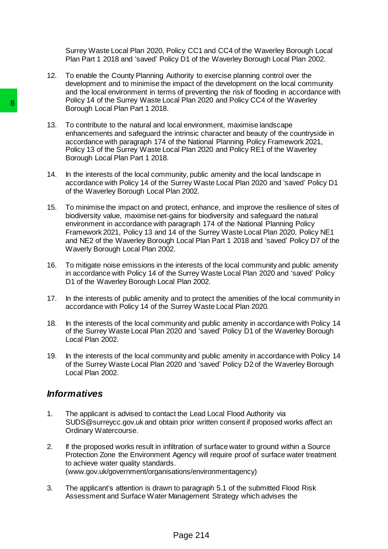Surrey Waste Local Plan 2020, Policy CC1 and CC4 of the Waverley Borough Local Plan Part 1 2018 and 'saved' Policy D1 of the Waverley Borough Local Plan 2002.

- 12. To enable the County Planning Authority to exercise planning control over the development and to minimise the impact of the development on the local community and the local environment in terms of preventing the risk of flooding in accordance with Policy 14 of the Surrey Waste Local Plan 2020 and Policy CC4 of the Waverley Borough Local Plan Part 1 2018.
- 13. To contribute to the natural and local environment, maximise landscape enhancements and safeguard the intrinsic character and beauty of the countryside in accordance with paragraph 174 of the National Planning Policy Framework 2021, Policy 13 of the Surrey Waste Local Plan 2020 and Policy RE1 of the Waverley Borough Local Plan Part 1 2018.
- 14. In the interests of the local community, public amenity and the local landscape in accordance with Policy 14 of the Surrey Waste Local Plan 2020 and 'saved' Policy D1 of the Waverley Borough Local Plan 2002.
- 15. To minimise the impact on and protect, enhance, and improve the resilience of sites of biodiversity value, maximise net-gains for biodiversity and safeguard the natural environment in accordance with paragraph 174 of the National Planning Policy Framework 2021, Policy 13 and 14 of the Surrey Waste Local Plan 2020, Policy NE1 and NE2 of the Waverley Borough Local Plan Part 1 2018 and 'saved' Policy D7 of the Waverly Borough Local Plan 2002. 8<br>
Polytoph Local Pian Part 12018.<br>
Borocuph Local Pian Part 12018.<br>
13. To contribute to the natural and local environmentals and stellaguard the interinse chemic accordance with paragraph 174 of the Nation Policy 13 of t
	- 16. To mitigate noise emissions in the interests of the local community and public amenity in accordance with Policy 14 of the Surrey Waste Local Plan 2020 and 'saved' Policy D1 of the Waverley Borough Local Plan 2002.
	- 17. In the interests of public amenity and to protect the amenities of the local community in accordance with Policy 14 of the Surrey Waste Local Plan 2020.
	- 18. In the interests of the local community and public amenity in accordance with Policy 14 of the Surrey Waste Local Plan 2020 and 'saved' Policy D1 of the Waverley Borough Local Plan 2002.
	- 19. In the interests of the local community and public amenity in accordance with Policy 14 of the Surrey Waste Local Plan 2020 and 'saved' Policy D2 of the Waverley Borough Local Plan 2002.

# *Informatives*

- 1. The applicant is advised to contact the Lead Local Flood Authority via SUDS@surreycc.gov.uk and obtain prior written consent if proposed works affect an Ordinary Watercourse.
- 2. If the proposed works result in infiltration of surface water to ground within a Source Protection Zone the Environment Agency will require proof of surface water treatment to achieve water quality standards. (www.gov.uk/government/organisations/environmentagency)
- 3. The applicant's attention is drawn to paragraph 5.1 of the submitted Flood Risk Assessment and Surface Water Management Strategy which advises the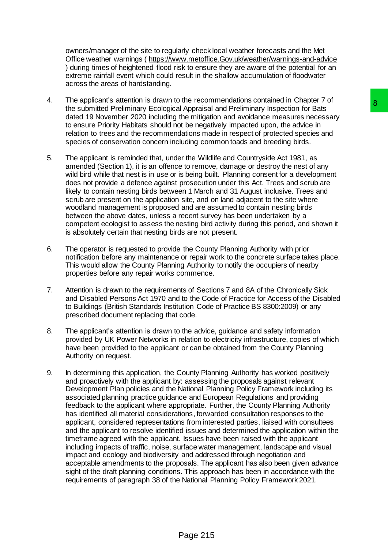owners/manager of the site to regularly check local weather forecasts and the Met Office weather warnings ( [https://www.metoffice.Gov.uk/weather/warnings-and-advice](https://www.metoffice.gov.uk/weather/warnings-and-advice) ) during times of heightened flood risk to ensure they are aware of the potential for an extreme rainfall event which could result in the shallow accumulation of floodwater across the areas of hardstanding.

- 4. The applicant's attention is drawn to the recommendations contained in Chapter 7 of the submitted Preliminary Ecological Appraisal and Preliminary Inspection for Bats dated 19 November 2020 including the mitigation and avoidance measures necessary to ensure Priority Habitats should not be negatively impacted upon, the advice in relation to trees and the recommendations made in respect of protected species and species of conservation concern including common toads and breeding birds.
- 5. The applicant is reminded that, under the Wildlife and Countryside Act 1981, as amended (Section 1), it is an offence to remove, damage or destroy the nest of any wild bird while that nest is in use or is being built. Planning consent for a development does not provide a defence against prosecution under this Act. Trees and scrub are likely to contain nesting birds between 1 March and 31 August inclusive. Trees and scrub are present on the application site, and on land adjacent to the site where woodland management is proposed and are assumed to contain nesting birds between the above dates, unless a recent survey has been undertaken by a competent ecologist to assess the nesting bird activity during this period, and shown it is absolutely certain that nesting birds are not present.
- 6. The operator is requested to provide the County Planning Authority with prior notification before any maintenance or repair work to the concrete surface takes place. This would allow the County Planning Authority to notify the occupiers of nearby properties before any repair works commence.
- 7. Attention is drawn to the requirements of Sections 7 and 8A of the Chronically Sick and Disabled Persons Act 1970 and to the Code of Practice for Access of the Disabled to Buildings (British Standards Institution Code of Practice BS 8300:2009) or any prescribed document replacing that code.
- 8. The applicant's attention is drawn to the advice, guidance and safety information provided by UK Power Networks in relation to electricity infrastructure, copies of which have been provided to the applicant or can be obtained from the County Planning Authority on request.
- 9. In determining this application, the County Planning Authority has worked positively and proactively with the applicant by: assessing the proposals against relevant Development Plan policies and the National Planning Policy Framework including its associated planning practice guidance and European Regulations and providing feedback to the applicant where appropriate. Further, the County Planning Authority has identified all material considerations, forwarded consultation responses to the applicant, considered representations from interested parties, liaised with consultees and the applicant to resolve identified issues and determined the application within the timeframe agreed with the applicant. Issues have been raised with the applicant including impacts of traffic, noise, surface water management, landscape and visual impact and ecology and biodiversity and addressed through negotiation and acceptable amendments to the proposals. The applicant has also been given advance sight of the draft planning conditions. This approach has been in accordance with the requirements of paragraph 38 of the National Planning Policy Framework 2021. In the recommendations contained in Christmatic Christmas (and Applyrial in Christmas (and Applyrial in Applyrial and Preliminary Inspection for Bats<br>of the mitigation and avoidance measures necessary<br>the meitgation of Bat